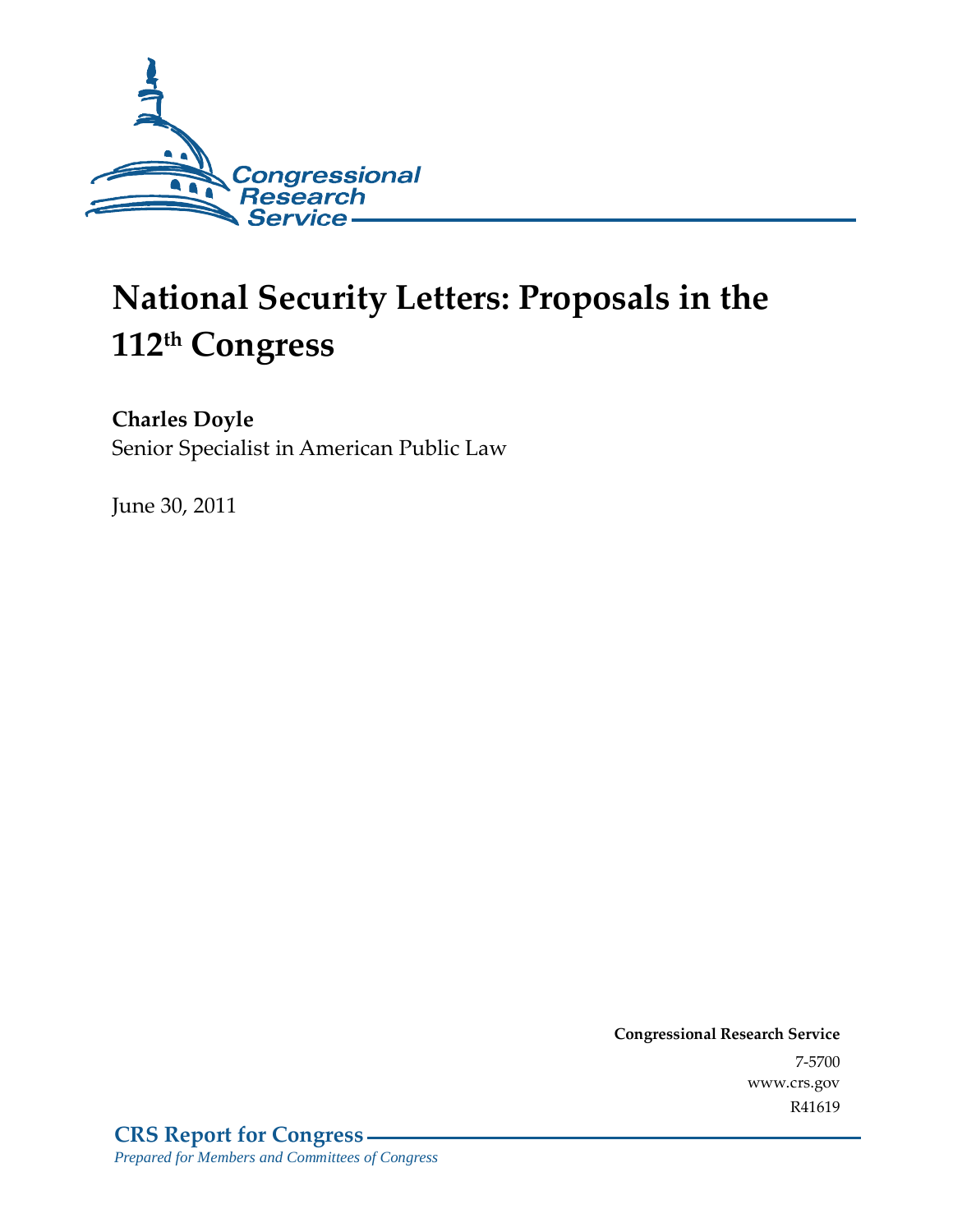

# **National Security Letters: Proposals in the 112th Congress**

## **Charles Doyle**

Senior Specialist in American Public Law

June 30, 2011

**Congressional Research Service** 7-5700 www.crs.gov R41619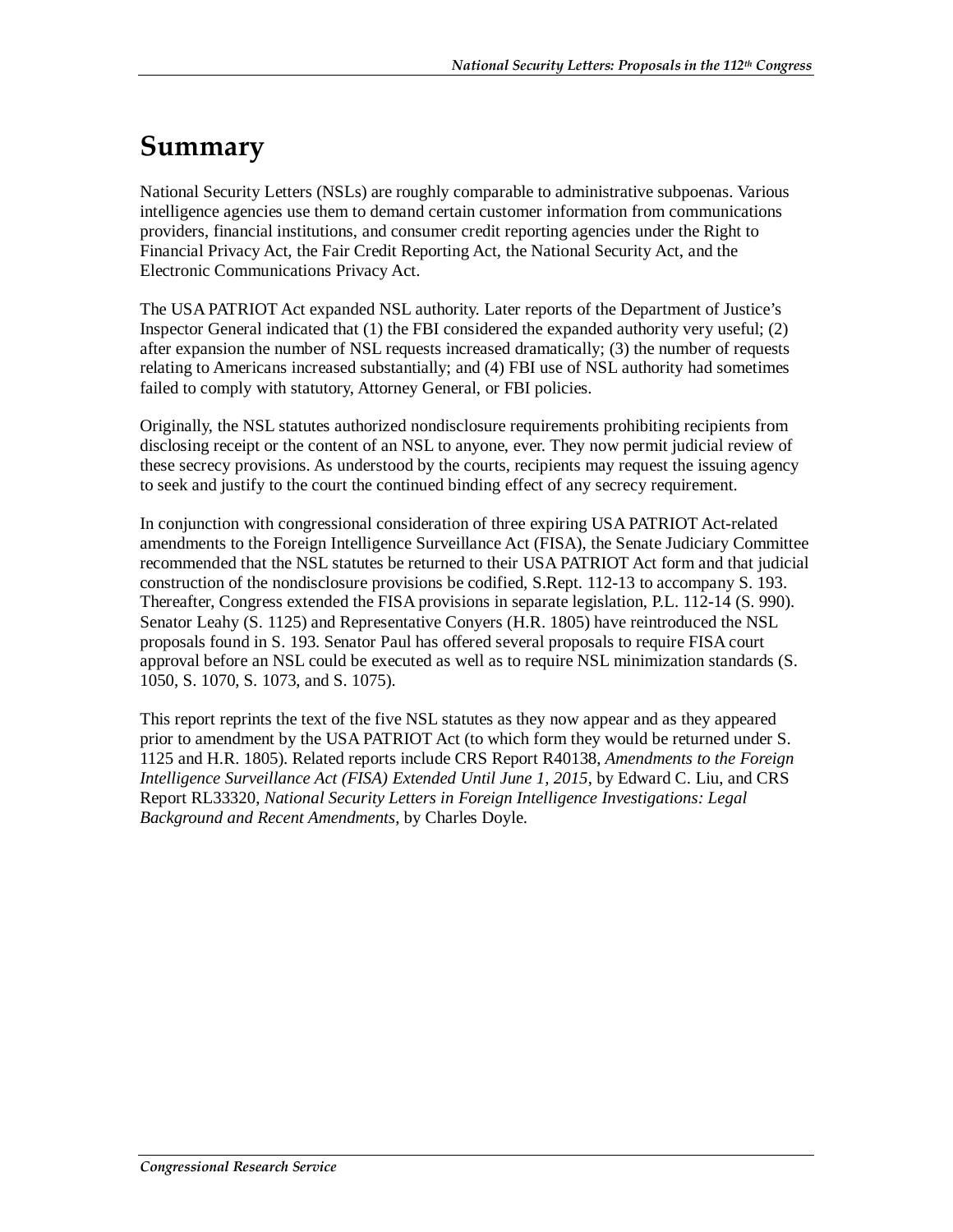## **Summary**

National Security Letters (NSLs) are roughly comparable to administrative subpoenas. Various intelligence agencies use them to demand certain customer information from communications providers, financial institutions, and consumer credit reporting agencies under the Right to Financial Privacy Act, the Fair Credit Reporting Act, the National Security Act, and the Electronic Communications Privacy Act.

The USA PATRIOT Act expanded NSL authority. Later reports of the Department of Justice's Inspector General indicated that (1) the FBI considered the expanded authority very useful; (2) after expansion the number of NSL requests increased dramatically; (3) the number of requests relating to Americans increased substantially; and (4) FBI use of NSL authority had sometimes failed to comply with statutory, Attorney General, or FBI policies.

Originally, the NSL statutes authorized nondisclosure requirements prohibiting recipients from disclosing receipt or the content of an NSL to anyone, ever. They now permit judicial review of these secrecy provisions. As understood by the courts, recipients may request the issuing agency to seek and justify to the court the continued binding effect of any secrecy requirement.

In conjunction with congressional consideration of three expiring USA PATRIOT Act-related amendments to the Foreign Intelligence Surveillance Act (FISA), the Senate Judiciary Committee recommended that the NSL statutes be returned to their USA PATRIOT Act form and that judicial construction of the nondisclosure provisions be codified, S.Rept. 112-13 to accompany S. 193. Thereafter, Congress extended the FISA provisions in separate legislation, P.L. 112-14 (S. 990). Senator Leahy (S. 1125) and Representative Conyers (H.R. 1805) have reintroduced the NSL proposals found in S. 193. Senator Paul has offered several proposals to require FISA court approval before an NSL could be executed as well as to require NSL minimization standards (S. 1050, S. 1070, S. 1073, and S. 1075).

This report reprints the text of the five NSL statutes as they now appear and as they appeared prior to amendment by the USA PATRIOT Act (to which form they would be returned under S. 1125 and H.R. 1805). Related reports include CRS Report R40138, *Amendments to the Foreign Intelligence Surveillance Act (FISA) Extended Until June 1, 2015*, by Edward C. Liu, and CRS Report RL33320, *National Security Letters in Foreign Intelligence Investigations: Legal Background and Recent Amendments*, by Charles Doyle.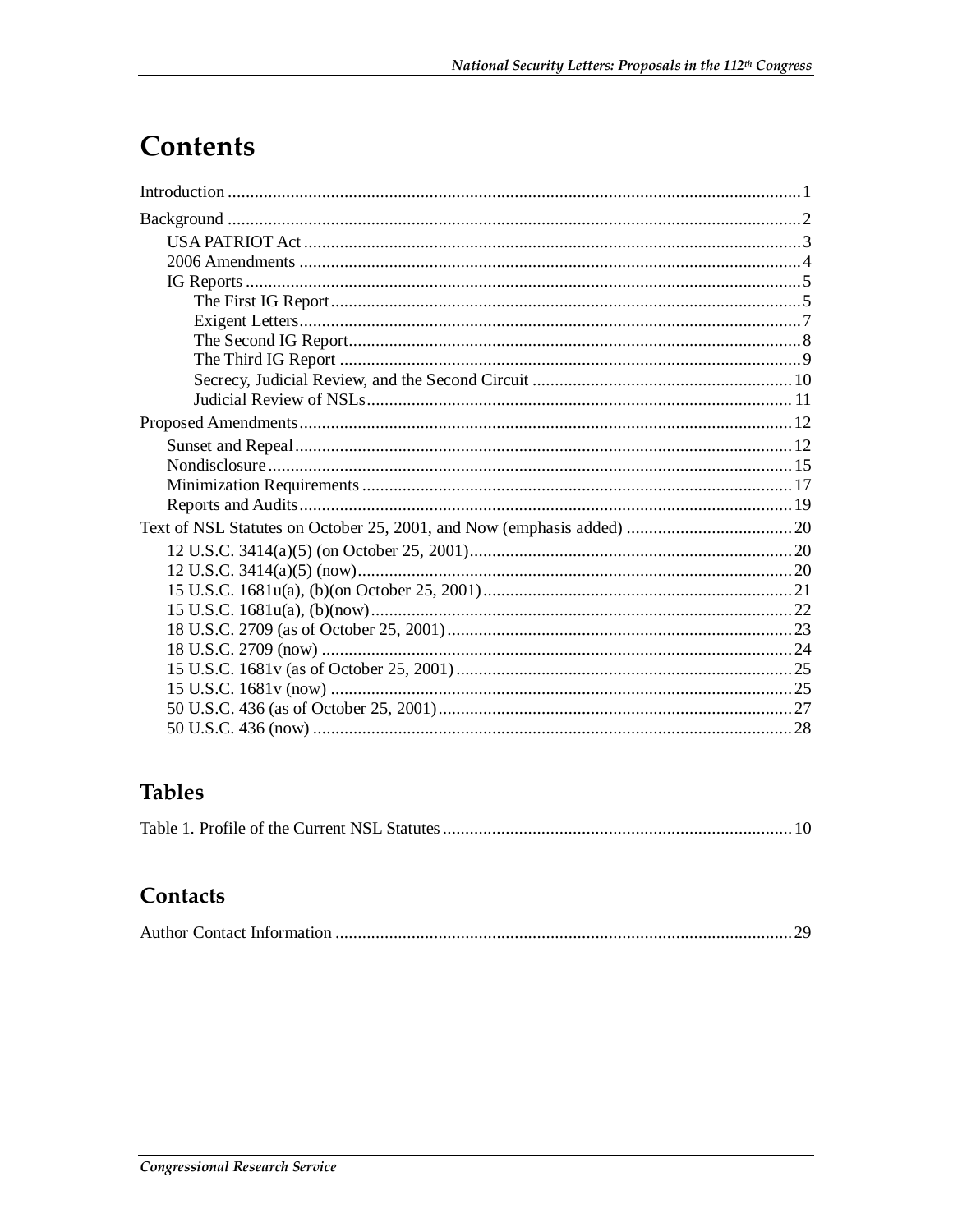## Contents

## **Tables**

## Contacts

|--|--|--|--|--|--|--|--|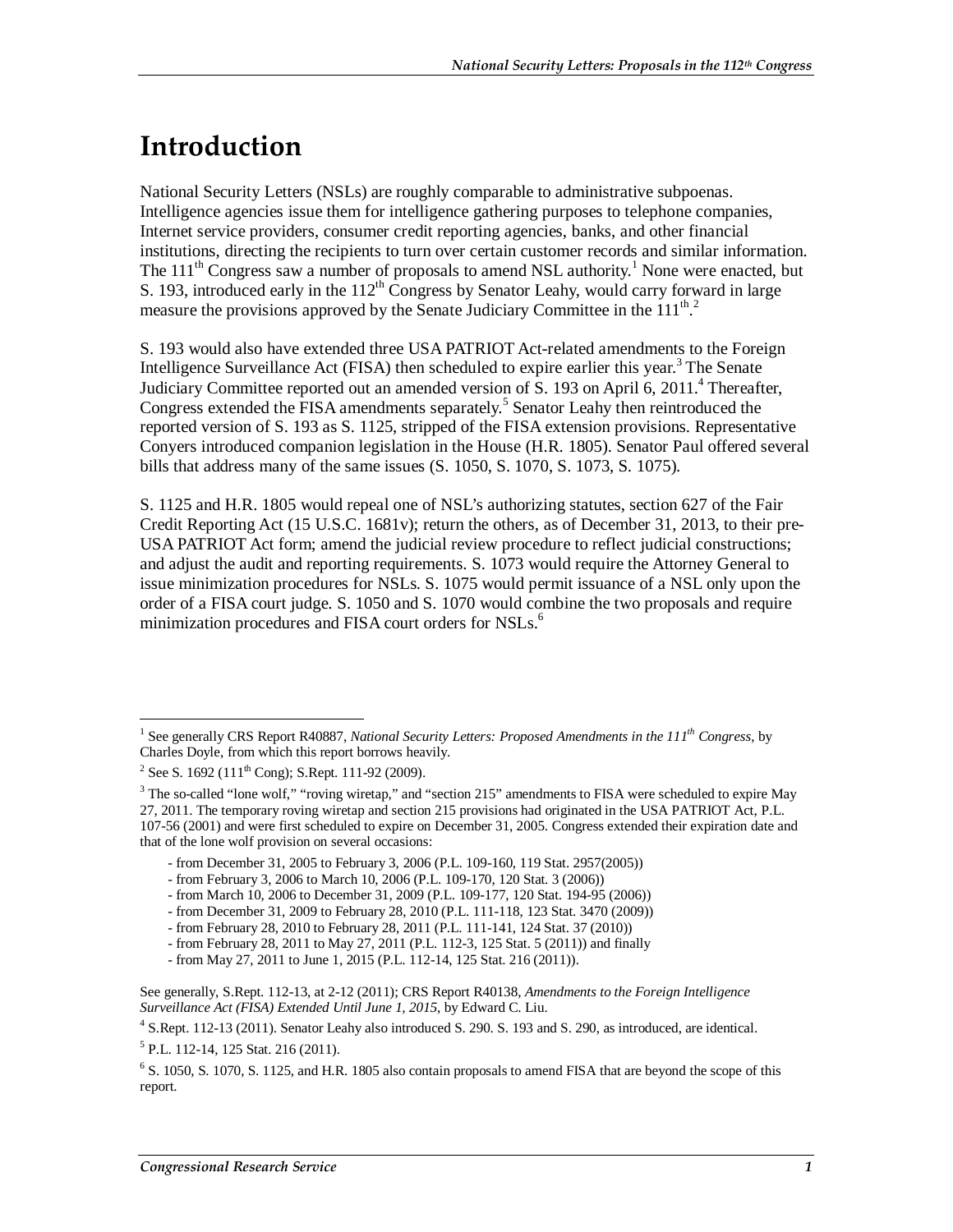## **Introduction**

National Security Letters (NSLs) are roughly comparable to administrative subpoenas. Intelligence agencies issue them for intelligence gathering purposes to telephone companies, Internet service providers, consumer credit reporting agencies, banks, and other financial institutions, directing the recipients to turn over certain customer records and similar information. The 111<sup>th</sup> Congress saw a number of proposals to amend NSL authority.<sup>1</sup> None were enacted, but S. 193, introduced early in the  $112<sup>th</sup>$  Congress by Senator Leahy, would carry forward in large measure the provisions approved by the Senate Judiciary Committee in the 111<sup>th</sup>.<sup>2</sup>

S. 193 would also have extended three USA PATRIOT Act-related amendments to the Foreign Intelligence Surveillance Act (FISA) then scheduled to expire earlier this year.<sup>3</sup> The Senate Judiciary Committee reported out an amended version of  $\tilde{S}$ . 193 on April 6, 2011.<sup>4</sup> Thereafter, Congress extended the FISA amendments separately.<sup>5</sup> Senator Leahy then reintroduced the reported version of S. 193 as S. 1125, stripped of the FISA extension provisions. Representative Conyers introduced companion legislation in the House (H.R. 1805). Senator Paul offered several bills that address many of the same issues (S. 1050, S. 1070, S. 1073, S. 1075).

S. 1125 and H.R. 1805 would repeal one of NSL's authorizing statutes, section 627 of the Fair Credit Reporting Act (15 U.S.C. 1681v); return the others, as of December 31, 2013, to their pre-USA PATRIOT Act form; amend the judicial review procedure to reflect judicial constructions; and adjust the audit and reporting requirements. S. 1073 would require the Attorney General to issue minimization procedures for NSLs. S. 1075 would permit issuance of a NSL only upon the order of a FISA court judge. S. 1050 and S. 1070 would combine the two proposals and require minimization procedures and FISA court orders for NSLs.<sup>6</sup>

- from December 31, 2005 to February 3, 2006 (P.L. 109-160, 119 Stat. 2957(2005))

 1 See generally CRS Report R40887, *National Security Letters: Proposed Amendments in the 111th Congress*, by Charles Doyle, from which this report borrows heavily.

<sup>&</sup>lt;sup>2</sup> See S. 1692 (111<sup>th</sup> Cong); S.Rept. 111-92 (2009).

 $3$  The so-called "lone wolf," "roving wiretap," and "section 215" amendments to FISA were scheduled to expire May 27, 2011. The temporary roving wiretap and section 215 provisions had originated in the USA PATRIOT Act, P.L. 107-56 (2001) and were first scheduled to expire on December 31, 2005. Congress extended their expiration date and that of the lone wolf provision on several occasions:

<sup>-</sup> from February 3, 2006 to March 10, 2006 (P.L. 109-170, 120 Stat. 3 (2006))

<sup>-</sup> from March 10, 2006 to December 31, 2009 (P.L. 109-177, 120 Stat. 194-95 (2006))

<sup>-</sup> from December 31, 2009 to February 28, 2010 (P.L. 111-118, 123 Stat. 3470 (2009))

<sup>-</sup> from February 28, 2010 to February 28, 2011 (P.L. 111-141, 124 Stat. 37 (2010))

<sup>-</sup> from February 28, 2011 to May 27, 2011 (P.L. 112-3, 125 Stat. 5 (2011)) and finally

<sup>-</sup> from May 27, 2011 to June 1, 2015 (P.L. 112-14, 125 Stat. 216 (2011)).

See generally, S.Rept. 112-13, at 2-12 (2011); CRS Report R40138, *Amendments to the Foreign Intelligence Surveillance Act (FISA) Extended Until June 1, 2015*, by Edward C. Liu. 4

<sup>&</sup>lt;sup>4</sup> S.Rept. 112-13 (2011). Senator Leahy also introduced S. 290, S. 193 and S. 290, as introduced, are identical.

<sup>5</sup> P.L. 112-14, 125 Stat. 216 (2011).

<sup>&</sup>lt;sup>6</sup> S. 1050, S. 1070, S. 1125, and H.R. 1805 also contain proposals to amend FISA that are beyond the scope of this report.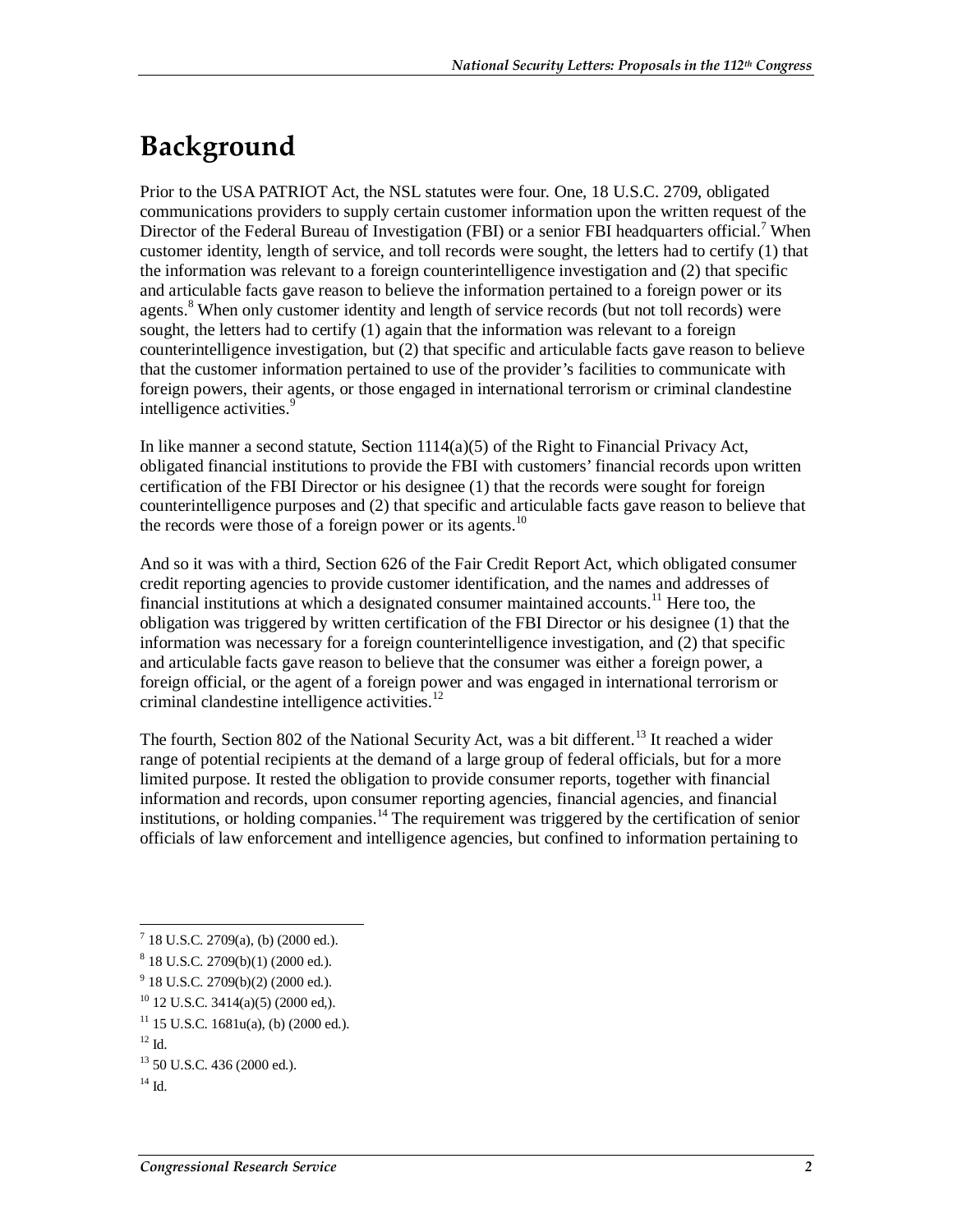## **Background**

Prior to the USA PATRIOT Act, the NSL statutes were four. One, 18 U.S.C. 2709, obligated communications providers to supply certain customer information upon the written request of the Director of the Federal Bureau of Investigation (FBI) or a senior FBI headquarters official.<sup>7</sup> When customer identity, length of service, and toll records were sought, the letters had to certify (1) that the information was relevant to a foreign counterintelligence investigation and (2) that specific and articulable facts gave reason to believe the information pertained to a foreign power or its agents.<sup>8</sup> When only customer identity and length of service records (but not toll records) were sought, the letters had to certify (1) again that the information was relevant to a foreign counterintelligence investigation, but (2) that specific and articulable facts gave reason to believe that the customer information pertained to use of the provider's facilities to communicate with foreign powers, their agents, or those engaged in international terrorism or criminal clandestine intelligence activities.<sup>9</sup>

In like manner a second statute, Section 1114(a)(5) of the Right to Financial Privacy Act, obligated financial institutions to provide the FBI with customers' financial records upon written certification of the FBI Director or his designee (1) that the records were sought for foreign counterintelligence purposes and (2) that specific and articulable facts gave reason to believe that the records were those of a foreign power or its agents.<sup>10</sup>

And so it was with a third, Section 626 of the Fair Credit Report Act, which obligated consumer credit reporting agencies to provide customer identification, and the names and addresses of financial institutions at which a designated consumer maintained accounts.<sup>11</sup> Here too, the obligation was triggered by written certification of the FBI Director or his designee (1) that the information was necessary for a foreign counterintelligence investigation, and (2) that specific and articulable facts gave reason to believe that the consumer was either a foreign power, a foreign official, or the agent of a foreign power and was engaged in international terrorism or criminal clandestine intelligence activities. $^{12}$ 

The fourth, Section 802 of the National Security Act, was a bit different.<sup>13</sup> It reached a wider range of potential recipients at the demand of a large group of federal officials, but for a more limited purpose. It rested the obligation to provide consumer reports, together with financial information and records, upon consumer reporting agencies, financial agencies, and financial institutions, or holding companies.<sup>14</sup> The requirement was triggered by the certification of senior officials of law enforcement and intelligence agencies, but confined to information pertaining to

 7 18 U.S.C. 2709(a), (b) (2000 ed.).

<sup>8</sup> 18 U.S.C. 2709(b)(1) (2000 ed.).

<sup>&</sup>lt;sup>9</sup> 18 U.S.C. 2709(b)(2) (2000 ed.).

<sup>10 12</sup> U.S.C. 3414(a)(5) (2000 ed,).

 $11$  15 U.S.C. 1681u(a), (b) (2000 ed.).

 $12$  Id.

<sup>13 50</sup> U.S.C. 436 (2000 ed.).

 $14$  Id.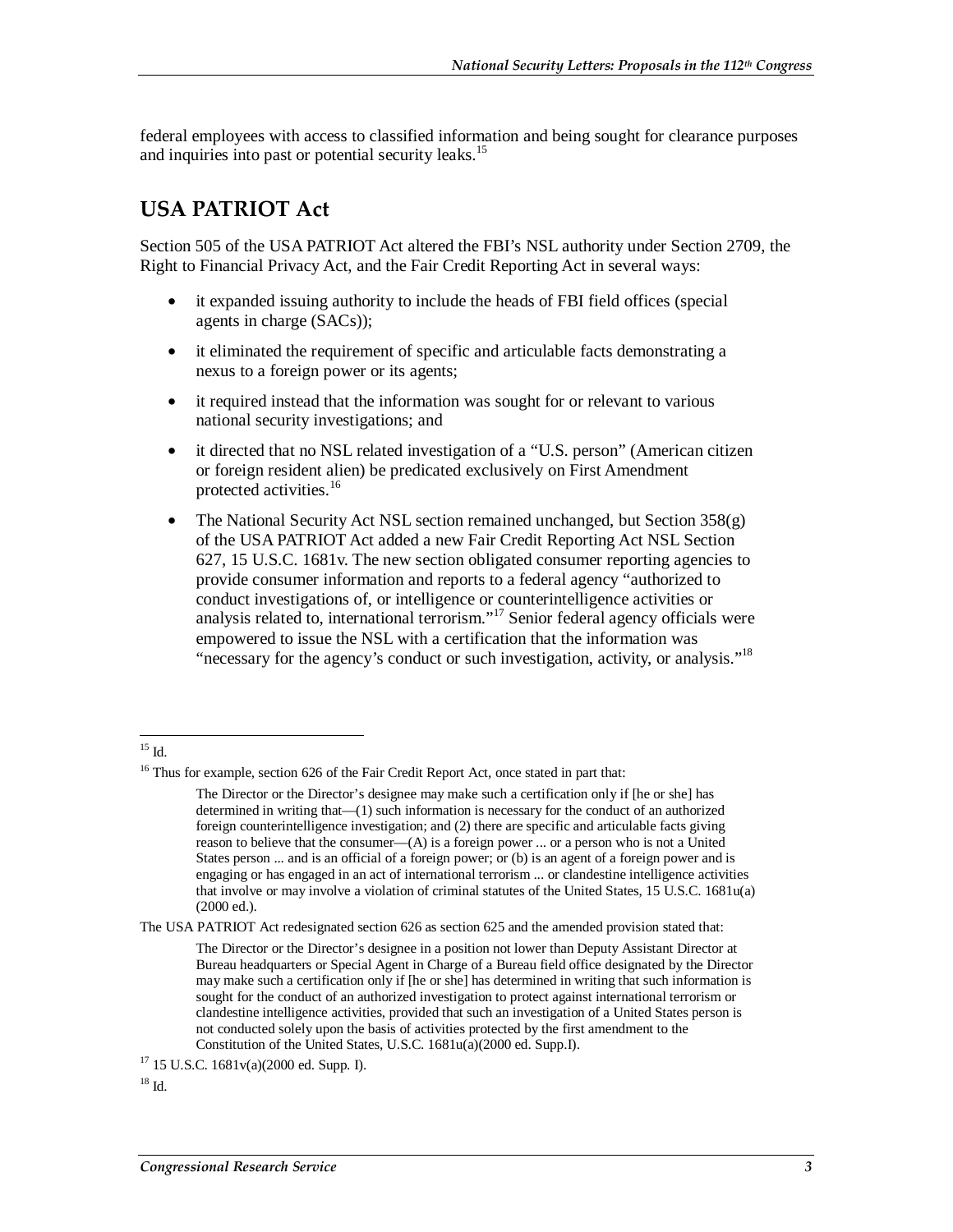federal employees with access to classified information and being sought for clearance purposes and inquiries into past or potential security leaks.<sup>15</sup>

## **USA PATRIOT Act**

Section 505 of the USA PATRIOT Act altered the FBI's NSL authority under Section 2709, the Right to Financial Privacy Act, and the Fair Credit Reporting Act in several ways:

- it expanded issuing authority to include the heads of FBI field offices (special agents in charge (SACs));
- it eliminated the requirement of specific and articulable facts demonstrating a nexus to a foreign power or its agents;
- it required instead that the information was sought for or relevant to various national security investigations; and
- it directed that no NSL related investigation of a "U.S. person" (American citizen or foreign resident alien) be predicated exclusively on First Amendment protected activities.<sup>16</sup>
- The National Security Act NSL section remained unchanged, but Section 358(g) of the USA PATRIOT Act added a new Fair Credit Reporting Act NSL Section 627, 15 U.S.C. 1681v. The new section obligated consumer reporting agencies to provide consumer information and reports to a federal agency "authorized to conduct investigations of, or intelligence or counterintelligence activities or analysis related to, international terrorism."17 Senior federal agency officials were empowered to issue the NSL with a certification that the information was "necessary for the agency's conduct or such investigation, activity, or analysis."<sup>18</sup>

 $\frac{1}{1}$  $^{15}$  Id.

<sup>&</sup>lt;sup>16</sup> Thus for example, section 626 of the Fair Credit Report Act, once stated in part that:

The Director or the Director's designee may make such a certification only if [he or she] has determined in writing that—(1) such information is necessary for the conduct of an authorized foreign counterintelligence investigation; and (2) there are specific and articulable facts giving reason to believe that the consumer—(A) is a foreign power ... or a person who is not a United States person ... and is an official of a foreign power; or (b) is an agent of a foreign power and is engaging or has engaged in an act of international terrorism ... or clandestine intelligence activities that involve or may involve a violation of criminal statutes of the United States, 15 U.S.C. 1681u(a) (2000 ed.).

The USA PATRIOT Act redesignated section 626 as section 625 and the amended provision stated that:

The Director or the Director's designee in a position not lower than Deputy Assistant Director at Bureau headquarters or Special Agent in Charge of a Bureau field office designated by the Director may make such a certification only if [he or she] has determined in writing that such information is sought for the conduct of an authorized investigation to protect against international terrorism or clandestine intelligence activities, provided that such an investigation of a United States person is not conducted solely upon the basis of activities protected by the first amendment to the Constitution of the United States, U.S.C. 1681u(a)(2000 ed. Supp.I). 17 15 U.S.C. 1681v(a)(2000 ed. Supp. I).

 $18$  Id.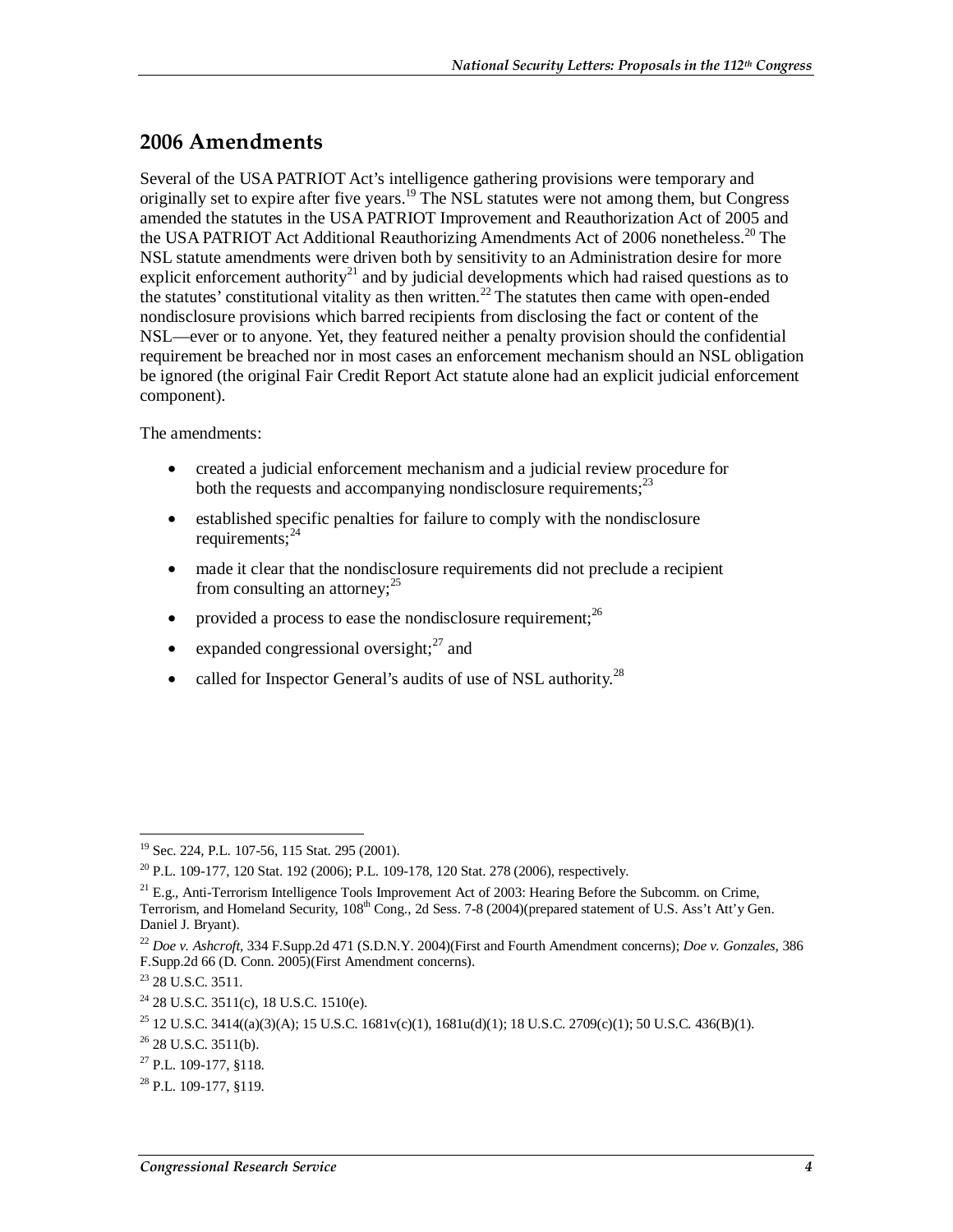## **2006 Amendments**

Several of the USA PATRIOT Act's intelligence gathering provisions were temporary and originally set to expire after five years.<sup>19</sup> The NSL statutes were not among them, but Congress amended the statutes in the USA PATRIOT Improvement and Reauthorization Act of 2005 and the USA PATRIOT Act Additional Reauthorizing Amendments Act of 2006 nonetheless.<sup>20</sup> The NSL statute amendments were driven both by sensitivity to an Administration desire for more explicit enforcement authority<sup>21</sup> and by judicial developments which had raised questions as to the statutes' constitutional vitality as then written.<sup>22</sup> The statutes then came with open-ended nondisclosure provisions which barred recipients from disclosing the fact or content of the NSL—ever or to anyone. Yet, they featured neither a penalty provision should the confidential requirement be breached nor in most cases an enforcement mechanism should an NSL obligation be ignored (the original Fair Credit Report Act statute alone had an explicit judicial enforcement component).

The amendments:

- created a judicial enforcement mechanism and a judicial review procedure for both the requests and accompanying nondisclosure requirements;<sup>23</sup>
- established specific penalties for failure to comply with the nondisclosure requirements;<sup>24</sup>
- made it clear that the nondisclosure requirements did not preclude a recipient from consulting an attorney:  $25$
- provided a process to ease the nondisclosure requirement;<sup>26</sup>
- expanded congressional oversight; $^{27}$  and
- called for Inspector General's audits of use of NSL authority.<sup>28</sup>

<sup>-</sup><sup>19</sup> Sec. 224, P.L. 107-56, 115 Stat. 295 (2001).

 $^{20}$  P.L. 109-177, 120 Stat. 192 (2006); P.L. 109-178, 120 Stat. 278 (2006), respectively.

 $^{21}$  E.g., Anti-Terrorism Intelligence Tools Improvement Act of 2003: Hearing Before the Subcomm. on Crime, Terrorism, and Homeland Security, 108<sup>th</sup> Cong., 2d Sess. 7-8 (2004)(prepared statement of U.S. Ass't Att'y Gen. Daniel J. Bryant).

<sup>22</sup> *Doe v. Ashcroft,* 334 F.Supp.2d 471 (S.D.N.Y. 2004)(First and Fourth Amendment concerns); *Doe v. Gonzales,* 386 F.Supp.2d 66 (D. Conn. 2005)(First Amendment concerns).

 $^{23}$  28 U.S.C. 3511.

<sup>24 28</sup> U.S.C. 3511(c), 18 U.S.C. 1510(e).

<sup>&</sup>lt;sup>25</sup> 12 U.S.C. 3414((a)(3)(A); 15 U.S.C. 1681v(c)(1), 1681u(d)(1); 18 U.S.C. 2709(c)(1); 50 U.S.C. 436(B)(1).

 $26$  28 U.S.C. 3511(b).

<sup>27</sup> P.L. 109-177, §118.

<sup>28</sup> P.L. 109-177, §119.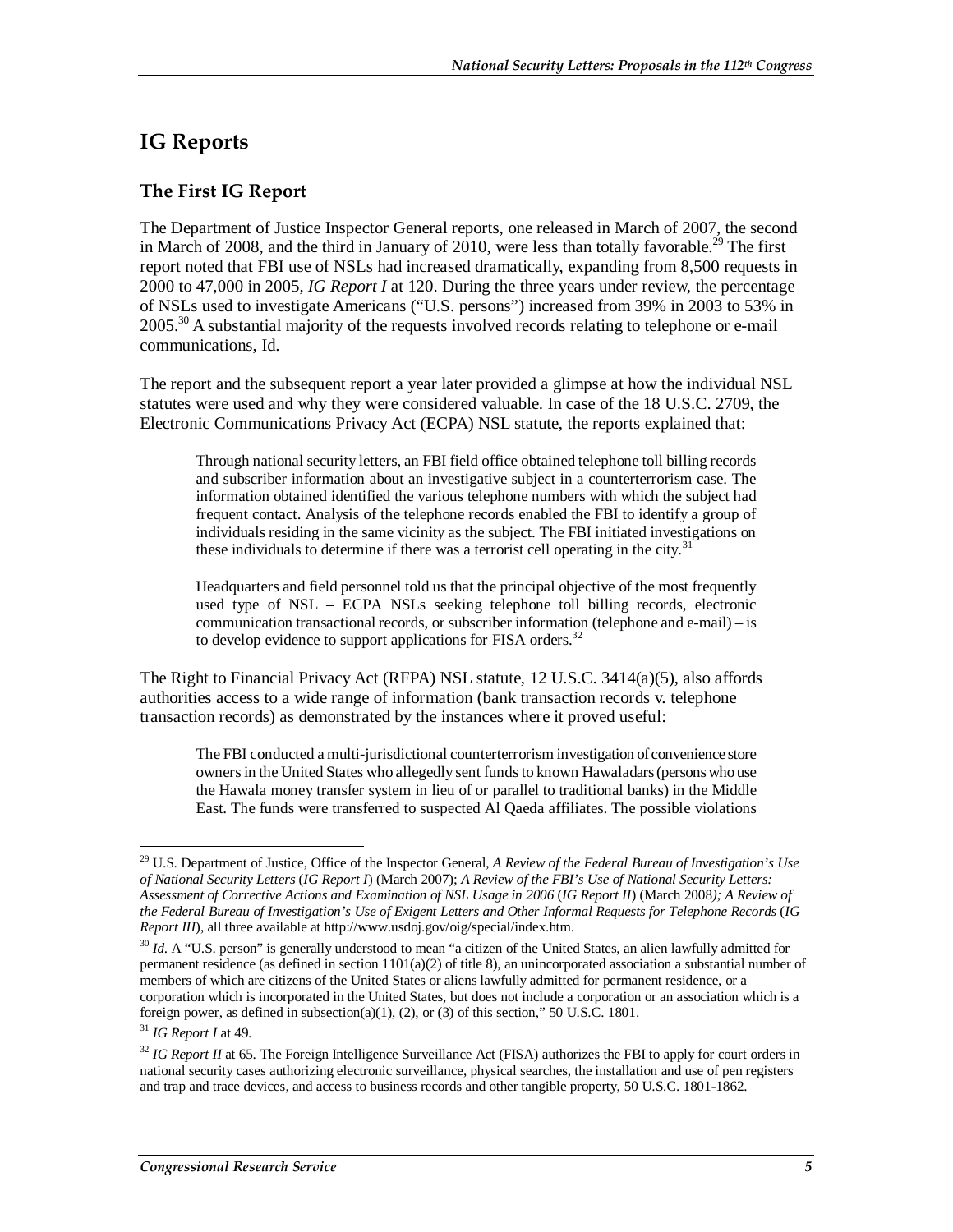## **IG Reports**

#### **The First IG Report**

The Department of Justice Inspector General reports, one released in March of 2007, the second in March of 2008, and the third in January of  $2010$ , were less than totally favorable.<sup>29</sup> The first report noted that FBI use of NSLs had increased dramatically, expanding from 8,500 requests in 2000 to 47,000 in 2005, *IG Report I* at 120. During the three years under review, the percentage of NSLs used to investigate Americans ("U.S. persons") increased from 39% in 2003 to 53% in 2005.<sup>30</sup> A substantial majority of the requests involved records relating to telephone or e-mail communications, Id.

The report and the subsequent report a year later provided a glimpse at how the individual NSL statutes were used and why they were considered valuable. In case of the 18 U.S.C. 2709, the Electronic Communications Privacy Act (ECPA) NSL statute, the reports explained that:

Through national security letters, an FBI field office obtained telephone toll billing records and subscriber information about an investigative subject in a counterterrorism case. The information obtained identified the various telephone numbers with which the subject had frequent contact. Analysis of the telephone records enabled the FBI to identify a group of individuals residing in the same vicinity as the subject. The FBI initiated investigations on these individuals to determine if there was a terrorist cell operating in the city.<sup>31</sup>

Headquarters and field personnel told us that the principal objective of the most frequently used type of NSL – ECPA NSLs seeking telephone toll billing records, electronic communication transactional records, or subscriber information (telephone and e-mail) – is to develop evidence to support applications for FISA orders.<sup>32</sup>

The Right to Financial Privacy Act (RFPA) NSL statute, 12 U.S.C. 3414(a)(5), also affords authorities access to a wide range of information (bank transaction records v. telephone transaction records) as demonstrated by the instances where it proved useful:

The FBI conducted a multi-jurisdictional counterterrorism investigation of convenience store owners in the United States who allegedly sent funds to known Hawaladars (persons who use the Hawala money transfer system in lieu of or parallel to traditional banks) in the Middle East. The funds were transferred to suspected Al Qaeda affiliates. The possible violations

-

<sup>29</sup> U.S. Department of Justice, Office of the Inspector General, *A Review of the Federal Bureau of Investigation's Use of National Security Letters* (*IG Report I*) (March 2007); *A Review of the FBI's Use of National Security Letters: Assessment of Corrective Actions and Examination of NSL Usage in 2006* (*IG Report II*) (March 2008*); A Review of the Federal Bureau of Investigation's Use of Exigent Letters and Other Informal Requests for Telephone Records* (*IG Report III*), all three available at http://www.usdoj.gov/oig/special/index.htm.

<sup>&</sup>lt;sup>30</sup> *Id.* A "U.S. person" is generally understood to mean "a citizen of the United States, an alien lawfully admitted for permanent residence (as defined in section  $1101(a)(2)$  of title 8), an unincorporated association a substantial number of members of which are citizens of the United States or aliens lawfully admitted for permanent residence, or a corporation which is incorporated in the United States, but does not include a corporation or an association which is a foreign power, as defined in subsection(a)(1), (2), or (3) of this section," 50 U.S.C. 1801.

<sup>31</sup> *IG Report I* at 49.

<sup>&</sup>lt;sup>32</sup> *IG Report II* at 65. The Foreign Intelligence Surveillance Act (FISA) authorizes the FBI to apply for court orders in national security cases authorizing electronic surveillance, physical searches, the installation and use of pen registers and trap and trace devices, and access to business records and other tangible property, 50 U.S.C. 1801-1862.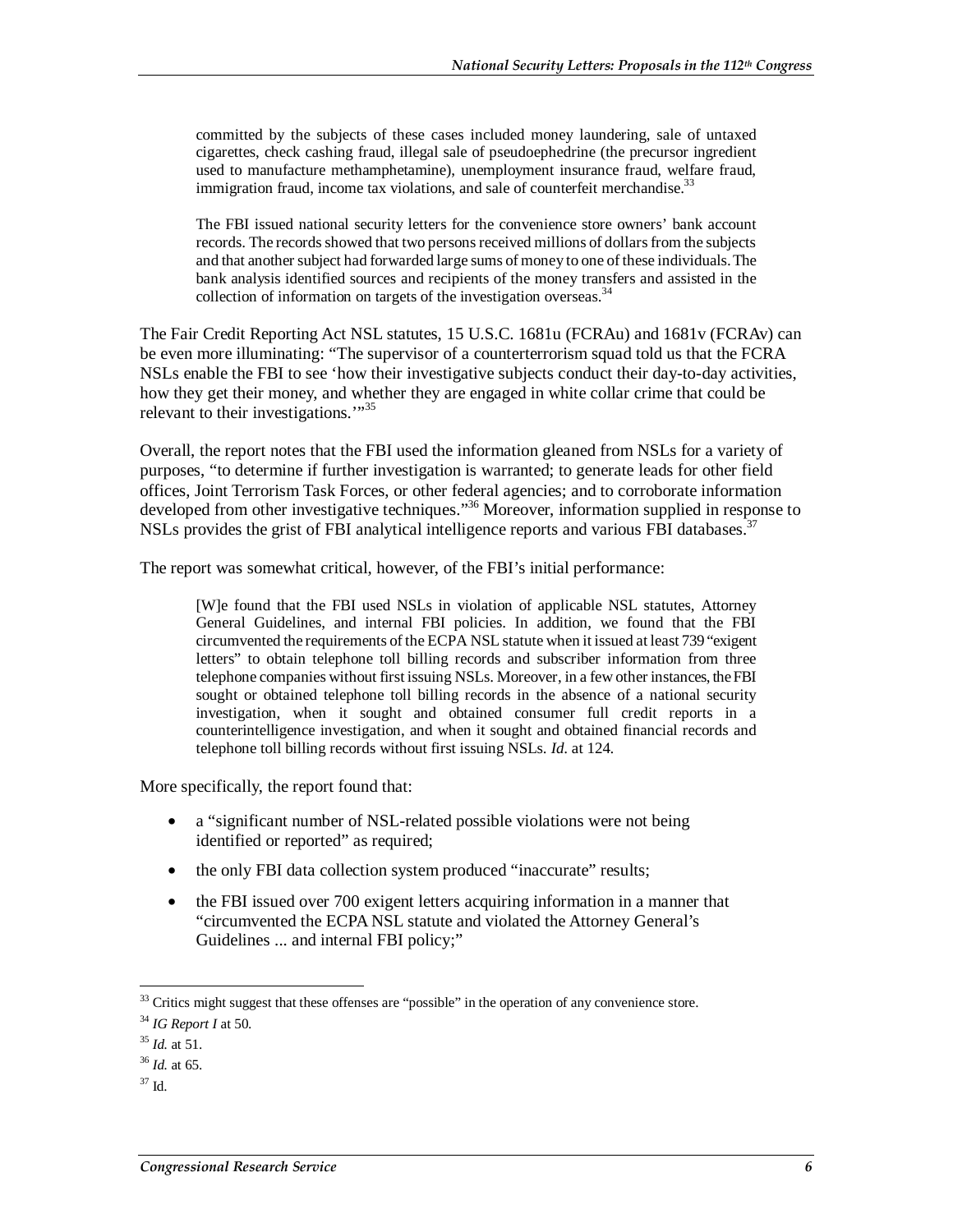committed by the subjects of these cases included money laundering, sale of untaxed cigarettes, check cashing fraud, illegal sale of pseudoephedrine (the precursor ingredient used to manufacture methamphetamine), unemployment insurance fraud, welfare fraud, immigration fraud, income tax violations, and sale of counterfeit merchandise.<sup>33</sup>

The FBI issued national security letters for the convenience store owners' bank account records. The records showed that two persons received millions of dollars from the subjects and that another subject had forwarded large sums of money to one of these individuals. The bank analysis identified sources and recipients of the money transfers and assisted in the collection of information on targets of the investigation overseas.<sup>34</sup>

The Fair Credit Reporting Act NSL statutes, 15 U.S.C. 1681u (FCRAu) and 1681v (FCRAv) can be even more illuminating: "The supervisor of a counterterrorism squad told us that the FCRA NSLs enable the FBI to see 'how their investigative subjects conduct their day-to-day activities, how they get their money, and whether they are engaged in white collar crime that could be relevant to their investigations."<sup>35</sup>

Overall, the report notes that the FBI used the information gleaned from NSLs for a variety of purposes, "to determine if further investigation is warranted; to generate leads for other field offices, Joint Terrorism Task Forces, or other federal agencies; and to corroborate information developed from other investigative techniques."<sup>36</sup> Moreover, information supplied in response to NSLs provides the grist of FBI analytical intelligence reports and various FBI databases.<sup>37</sup>

The report was somewhat critical, however, of the FBI's initial performance:

[W]e found that the FBI used NSLs in violation of applicable NSL statutes, Attorney General Guidelines, and internal FBI policies. In addition, we found that the FBI circumvented the requirements of the ECPA NSL statute when it issued at least 739 "exigent letters" to obtain telephone toll billing records and subscriber information from three telephone companies without first issuing NSLs. Moreover, in a few other instances, the FBI sought or obtained telephone toll billing records in the absence of a national security investigation, when it sought and obtained consumer full credit reports in a counterintelligence investigation, and when it sought and obtained financial records and telephone toll billing records without first issuing NSLs. *Id*. at 124.

More specifically, the report found that:

- a "significant number of NSL-related possible violations were not being identified or reported" as required;
- the only FBI data collection system produced "inaccurate" results;
- the FBI issued over 700 exigent letters acquiring information in a manner that "circumvented the ECPA NSL statute and violated the Attorney General's Guidelines ... and internal FBI policy;"

 $\overline{a}$ 

<sup>&</sup>lt;sup>33</sup> Critics might suggest that these offenses are "possible" in the operation of any convenience store.

<sup>34</sup> *IG Report I* at 50.

<sup>35</sup> *Id.* at 51.

 $36$  *Id.* at 65.

 $37$  Id.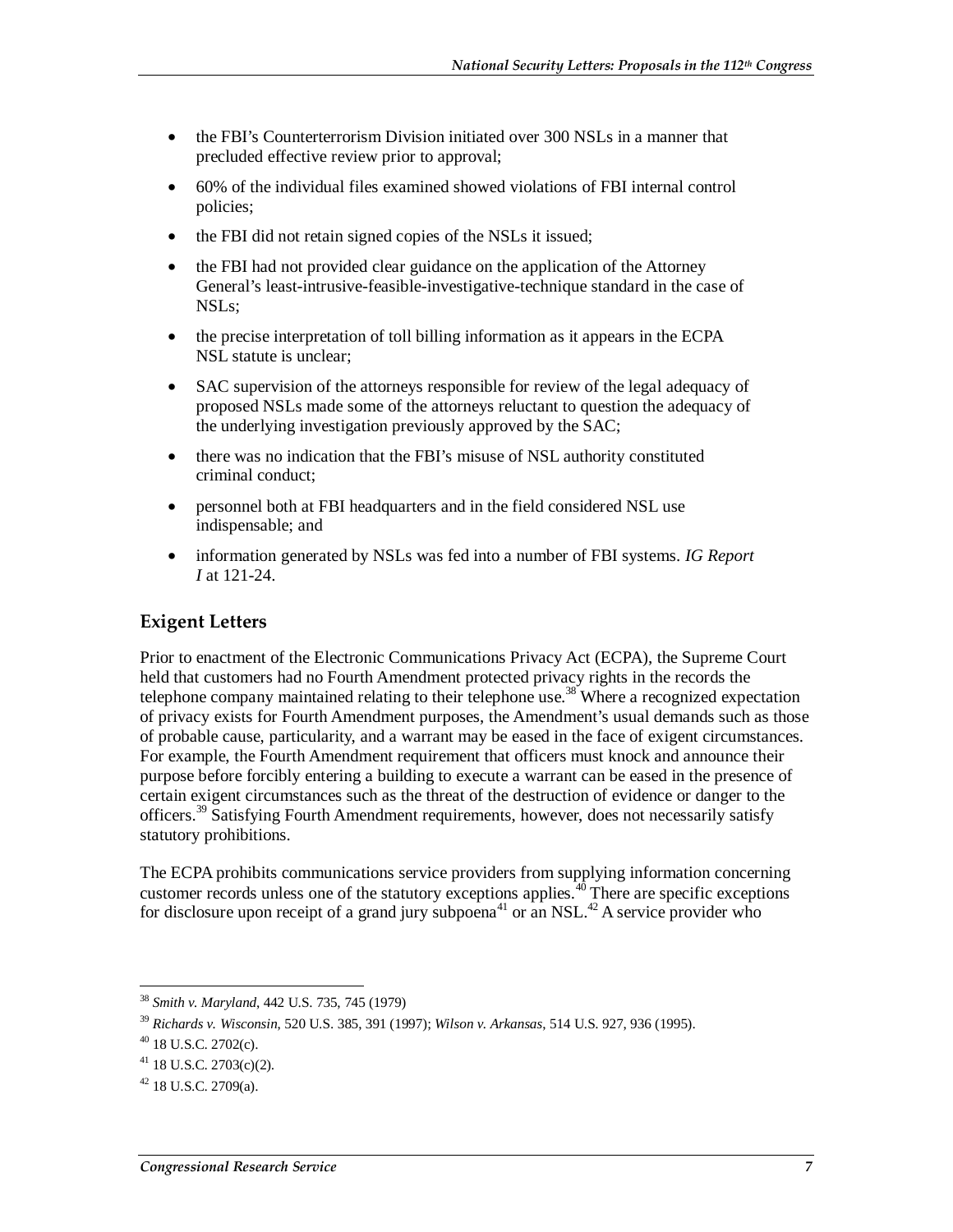- the FBI's Counterterrorism Division initiated over 300 NSLs in a manner that precluded effective review prior to approval;
- 60% of the individual files examined showed violations of FBI internal control policies;
- the FBI did not retain signed copies of the NSLs it issued;
- the FBI had not provided clear guidance on the application of the Attorney General's least-intrusive-feasible-investigative-technique standard in the case of NSLs;
- the precise interpretation of toll billing information as it appears in the ECPA NSL statute is unclear;
- SAC supervision of the attorneys responsible for review of the legal adequacy of proposed NSLs made some of the attorneys reluctant to question the adequacy of the underlying investigation previously approved by the SAC;
- there was no indication that the FBI's misuse of NSL authority constituted criminal conduct;
- personnel both at FBI headquarters and in the field considered NSL use indispensable; and
- information generated by NSLs was fed into a number of FBI systems. *IG Report I* at 121-24.

#### **Exigent Letters**

Prior to enactment of the Electronic Communications Privacy Act (ECPA), the Supreme Court held that customers had no Fourth Amendment protected privacy rights in the records the telephone company maintained relating to their telephone use.<sup>38</sup> Where a recognized expectation of privacy exists for Fourth Amendment purposes, the Amendment's usual demands such as those of probable cause, particularity, and a warrant may be eased in the face of exigent circumstances. For example, the Fourth Amendment requirement that officers must knock and announce their purpose before forcibly entering a building to execute a warrant can be eased in the presence of certain exigent circumstances such as the threat of the destruction of evidence or danger to the officers.<sup>39</sup> Satisfying Fourth Amendment requirements, however, does not necessarily satisfy statutory prohibitions.

The ECPA prohibits communications service providers from supplying information concerning customer records unless one of the statutory exceptions applies.<sup>40</sup> There are specific exceptions for disclosure upon receipt of a grand jury subpoena<sup>41</sup> or an NSL.<sup>42</sup> A service provider who

 $\overline{a}$ <sup>38</sup> *Smith v. Maryland*, 442 U.S. 735, 745 (1979)

<sup>39</sup> *Richards v. Wisconsin*, 520 U.S. 385, 391 (1997); *Wilson v. Arkansas*, 514 U.S. 927, 936 (1995).

 $40$  18 U.S.C. 2702(c).

 $41$  18 U.S.C. 2703(c)(2).

 $42$  18 U.S.C. 2709(a).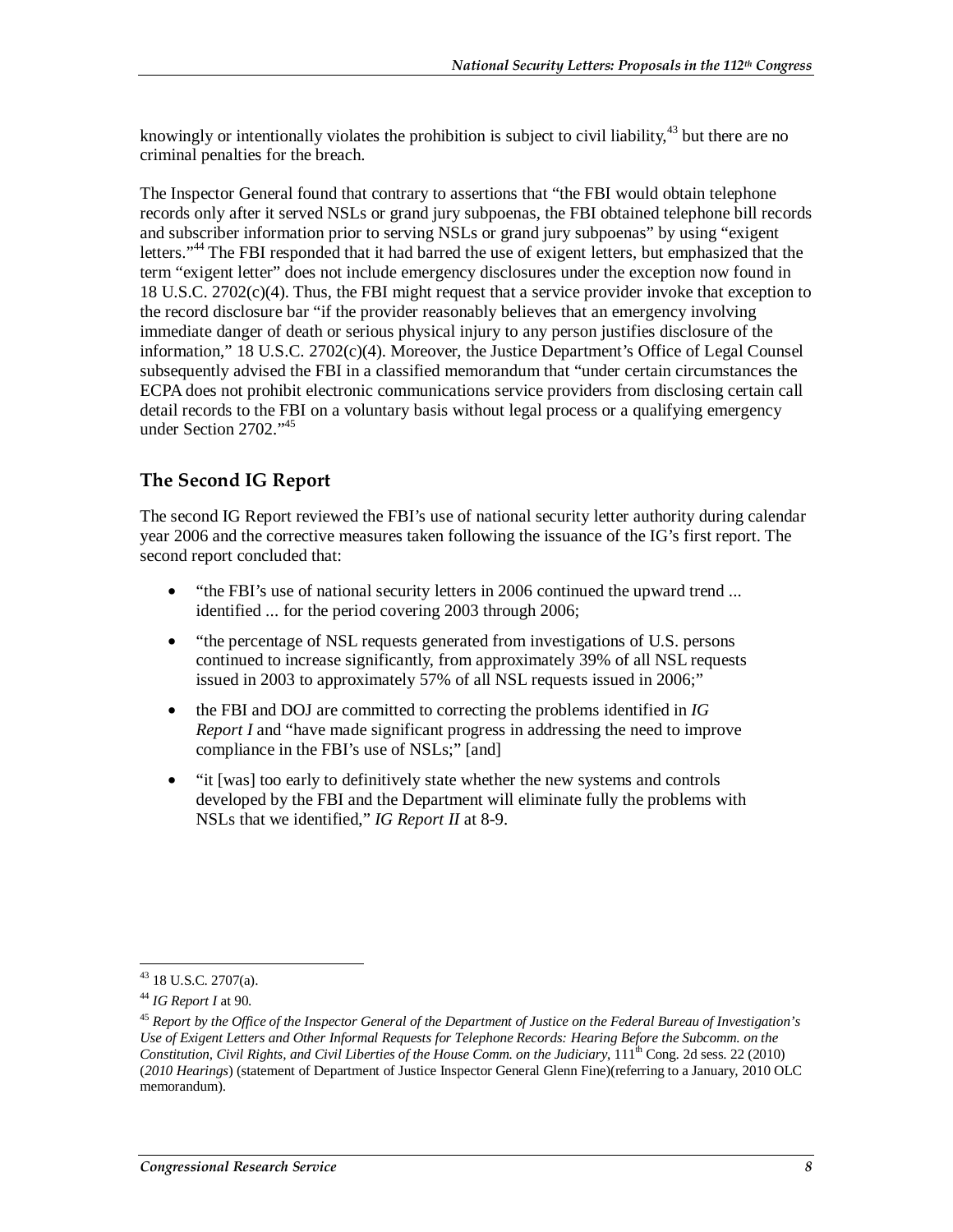knowingly or intentionally violates the prohibition is subject to civil liability,<sup>43</sup> but there are no criminal penalties for the breach.

The Inspector General found that contrary to assertions that "the FBI would obtain telephone records only after it served NSLs or grand jury subpoenas, the FBI obtained telephone bill records and subscriber information prior to serving NSLs or grand jury subpoenas" by using "exigent letters."<sup>44</sup> The FBI responded that it had barred the use of exigent letters, but emphasized that the term "exigent letter" does not include emergency disclosures under the exception now found in 18 U.S.C. 2702(c)(4). Thus, the FBI might request that a service provider invoke that exception to the record disclosure bar "if the provider reasonably believes that an emergency involving immediate danger of death or serious physical injury to any person justifies disclosure of the information," 18 U.S.C. 2702(c)(4). Moreover, the Justice Department's Office of Legal Counsel subsequently advised the FBI in a classified memorandum that "under certain circumstances the ECPA does not prohibit electronic communications service providers from disclosing certain call detail records to the FBI on a voluntary basis without legal process or a qualifying emergency under Section 2702."45

### **The Second IG Report**

The second IG Report reviewed the FBI's use of national security letter authority during calendar year 2006 and the corrective measures taken following the issuance of the IG's first report. The second report concluded that:

- "the FBI's use of national security letters in 2006 continued the upward trend ... identified ... for the period covering 2003 through 2006;
- "the percentage of NSL requests generated from investigations of U.S. persons continued to increase significantly, from approximately 39% of all NSL requests issued in 2003 to approximately 57% of all NSL requests issued in 2006;"
- the FBI and DOJ are committed to correcting the problems identified in *IG Report I* and "have made significant progress in addressing the need to improve compliance in the FBI's use of NSLs;" [and]
- "it [was] too early to definitively state whether the new systems and controls developed by the FBI and the Department will eliminate fully the problems with NSLs that we identified," *IG Report II* at 8-9.

 $\frac{1}{2}$  $43$  18 U.S.C. 2707(a).

<sup>44</sup> *IG Report I* at 90.

<sup>45</sup> *Report by the Office of the Inspector General of the Department of Justice on the Federal Bureau of Investigation's Use of Exigent Letters and Other Informal Requests for Telephone Records: Hearing Before the Subcomm. on the Constitution, Civil Rights, and Civil Liberties of the House Comm. on the Judiciary*, 111<sup>th</sup> Cong. 2d sess. 22 (2010) (*2010 Hearings*) (statement of Department of Justice Inspector General Glenn Fine)(referring to a January, 2010 OLC memorandum).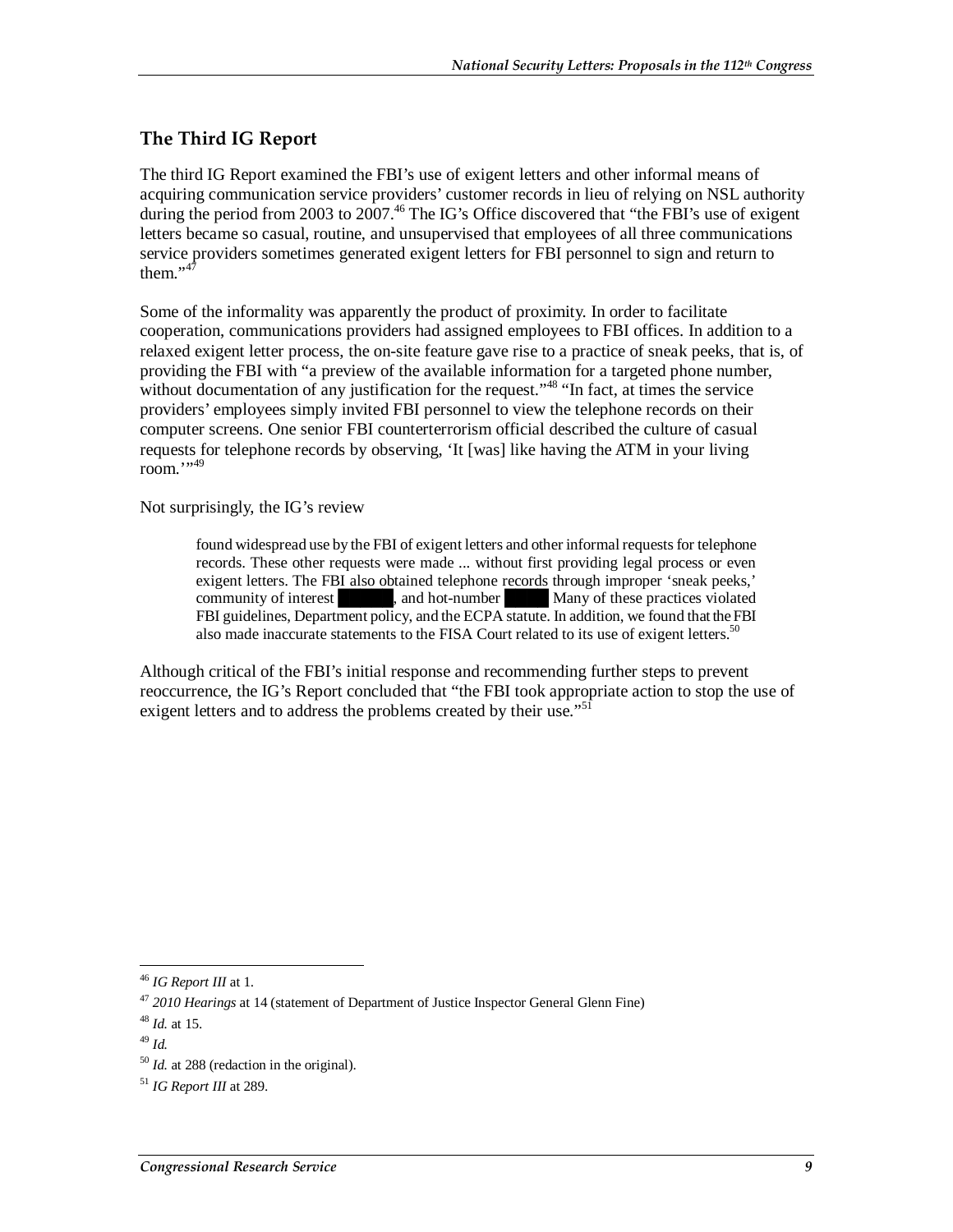### **The Third IG Report**

The third IG Report examined the FBI's use of exigent letters and other informal means of acquiring communication service providers' customer records in lieu of relying on NSL authority during the period from 2003 to  $2007<sup>46</sup>$  The IG's Office discovered that "the FBI's use of exigent letters became so casual, routine, and unsupervised that employees of all three communications service providers sometimes generated exigent letters for FBI personnel to sign and return to them." $47$ 

Some of the informality was apparently the product of proximity. In order to facilitate cooperation, communications providers had assigned employees to FBI offices. In addition to a relaxed exigent letter process, the on-site feature gave rise to a practice of sneak peeks, that is, of providing the FBI with "a preview of the available information for a targeted phone number, without documentation of any justification for the request."<sup>48</sup> "In fact, at times the service providers' employees simply invited FBI personnel to view the telephone records on their computer screens. One senior FBI counterterrorism official described the culture of casual requests for telephone records by observing, 'It [was] like having the ATM in your living  $\overline{\mathrm{room}}$ .",49

Not surprisingly, the IG's review

found widespread use by the FBI of exigent letters and other informal requests for telephone records. These other requests were made ... without first providing legal process or even exigent letters. The FBI also obtained telephone records through improper 'sneak peeks,' community of interest  $\blacksquare$ , and hot-number Many of these practices violated Many of these practices violated FBI guidelines, Department policy, and the ECPA statute. In addition, we found that the FBI also made inaccurate statements to the FISA Court related to its use of exigent letters.<sup>50</sup>

Although critical of the FBI's initial response and recommending further steps to prevent reoccurrence, the IG's Report concluded that "the FBI took appropriate action to stop the use of exigent letters and to address the problems created by their use."<sup>51</sup>

-

<sup>&</sup>lt;sup>46</sup> *IG Report III* at 1.<br><sup>47</sup> 2010 *Hearings* at 14 (statement of Department of Justice Inspector General Glenn Fine)

<sup>48</sup> *Id.* at 15.

<sup>49</sup> *Id.* 

<sup>50</sup> *Id.* at 288 (redaction in the original).

<sup>51</sup> *IG Report III* at 289.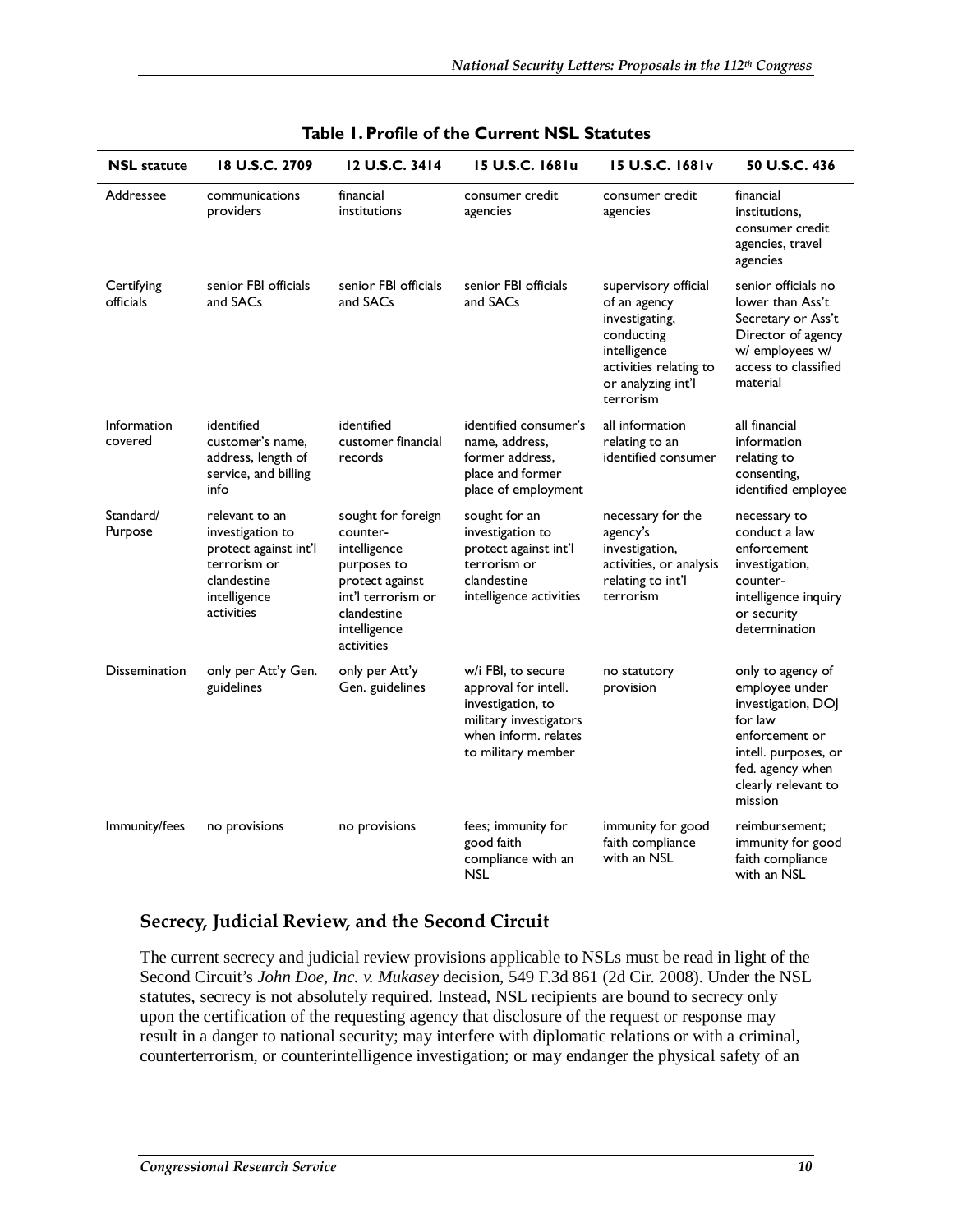| <b>NSL</b> statute      | 18 U.S.C. 2709                                                                                                           | 12 U.S.C. 3414                                                                                                                                      | 15 U.S.C. 1681u                                                                                                                         | 15 U.S.C. 1681v                                                                                                                                   | 50 U.S.C. 436                                                                                                                                                        |
|-------------------------|--------------------------------------------------------------------------------------------------------------------------|-----------------------------------------------------------------------------------------------------------------------------------------------------|-----------------------------------------------------------------------------------------------------------------------------------------|---------------------------------------------------------------------------------------------------------------------------------------------------|----------------------------------------------------------------------------------------------------------------------------------------------------------------------|
| Addressee               | communications<br>providers                                                                                              | financial<br>institutions                                                                                                                           | consumer credit<br>agencies                                                                                                             | consumer credit<br>agencies                                                                                                                       | financial<br>institutions,<br>consumer credit<br>agencies, travel<br>agencies                                                                                        |
| Certifying<br>officials | senior FBI officials<br>and SACs                                                                                         | senior FBI officials<br>and SACs                                                                                                                    | senior FBI officials<br>and SACs                                                                                                        | supervisory official<br>of an agency<br>investigating,<br>conducting<br>intelligence<br>activities relating to<br>or analyzing int'l<br>terrorism | senior officials no<br>lower than Ass't<br>Secretary or Ass't<br>Director of agency<br>w/ employees w/<br>access to classified<br>material                           |
| Information<br>covered  | identified<br>customer's name,<br>address, length of<br>service, and billing<br>info                                     | identified<br>customer financial<br>records                                                                                                         | identified consumer's<br>name, address,<br>former address,<br>place and former<br>place of employment                                   | all information<br>relating to an<br>identified consumer                                                                                          | all financial<br>information<br>relating to<br>consenting,<br>identified employee                                                                                    |
| Standard/<br>Purpose    | relevant to an<br>investigation to<br>protect against int'l<br>terrorism or<br>clandestine<br>intelligence<br>activities | sought for foreign<br>counter-<br>intelligence<br>purposes to<br>protect against<br>int'l terrorism or<br>clandestine<br>intelligence<br>activities | sought for an<br>investigation to<br>protect against int'l<br>terrorism or<br>clandestine<br>intelligence activities                    | necessary for the<br>agency's<br>investigation,<br>activities, or analysis<br>relating to int'l<br>terrorism                                      | necessary to<br>conduct a law<br>enforcement<br>investigation,<br>counter-<br>intelligence inquiry<br>or security<br>determination                                   |
| Dissemination           | only per Att'y Gen.<br>guidelines                                                                                        | only per Att'y<br>Gen. guidelines                                                                                                                   | w/i FBI, to secure<br>approval for intell.<br>investigation, to<br>military investigators<br>when inform, relates<br>to military member | no statutory<br>provision                                                                                                                         | only to agency of<br>employee under<br>investigation, DOJ<br>for law<br>enforcement or<br>intell. purposes, or<br>fed. agency when<br>clearly relevant to<br>mission |
| Immunity/fees           | no provisions                                                                                                            | no provisions                                                                                                                                       | fees; immunity for<br>good faith<br>compliance with an<br><b>NSL</b>                                                                    | immunity for good<br>faith compliance<br>with an NSL                                                                                              | reimbursement:<br>immunity for good<br>faith compliance<br>with an NSL                                                                                               |

#### **Table 1. Profile of the Current NSL Statutes**

#### **Secrecy, Judicial Review, and the Second Circuit**

The current secrecy and judicial review provisions applicable to NSLs must be read in light of the Second Circuit's *John Doe, Inc. v. Mukasey* decision, 549 F.3d 861 (2d Cir. 2008). Under the NSL statutes, secrecy is not absolutely required. Instead, NSL recipients are bound to secrecy only upon the certification of the requesting agency that disclosure of the request or response may result in a danger to national security; may interfere with diplomatic relations or with a criminal, counterterrorism, or counterintelligence investigation; or may endanger the physical safety of an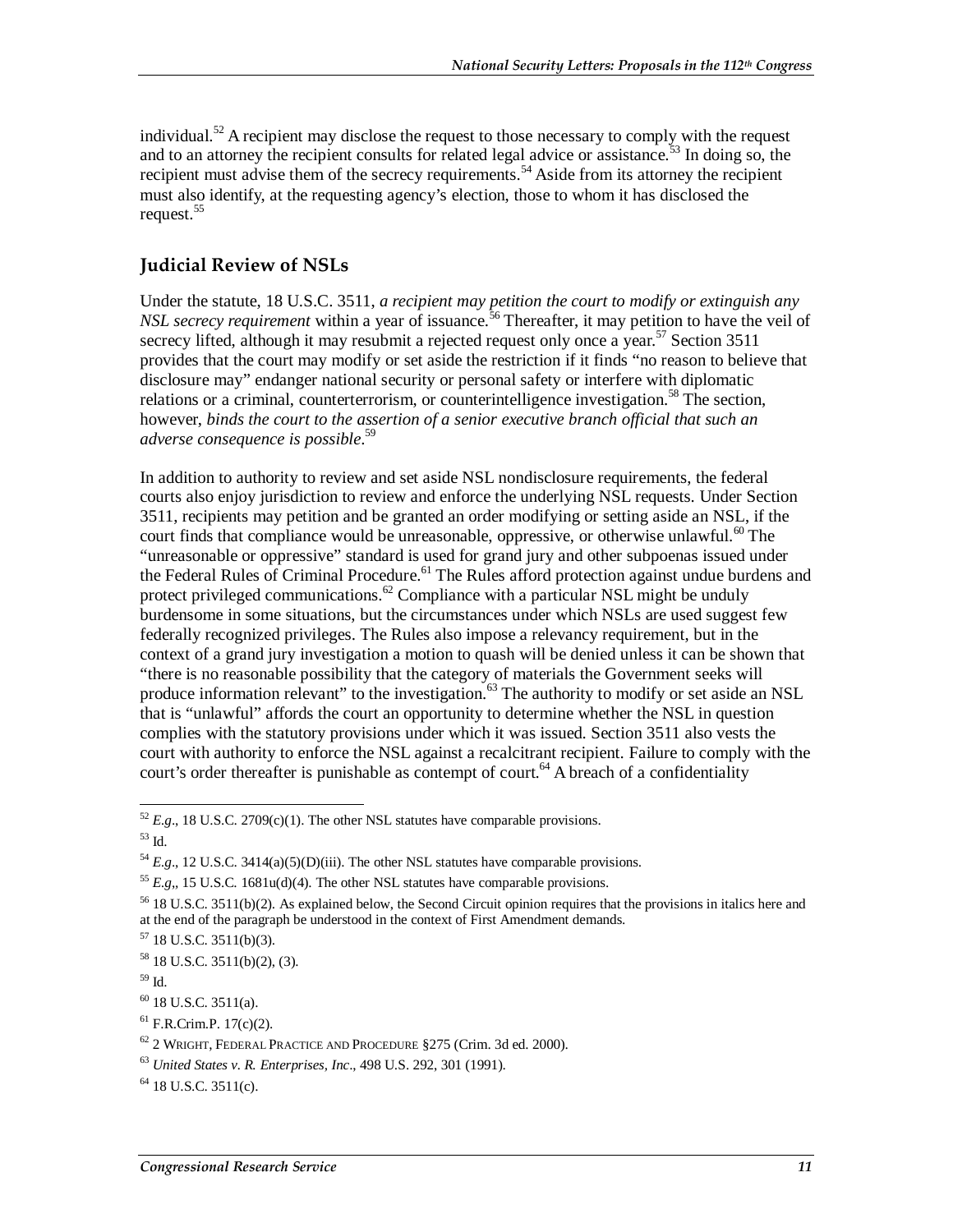individual.<sup>52</sup> A recipient may disclose the request to those necessary to comply with the request and to an attorney the recipient consults for related legal advice or assistance.<sup>53</sup> In doing so, the recipient must advise them of the secrecy requirements.<sup>54</sup> Aside from its attorney the recipient must also identify, at the requesting agency's election, those to whom it has disclosed the request.<sup>55</sup>

#### **Judicial Review of NSLs**

Under the statute, 18 U.S.C. 3511, *a recipient may petition the court to modify or extinguish any NSL secrecy requirement* within a year of issuance.<sup>56</sup> Thereafter, it may petition to have the veil of secrecy lifted, although it may resubmit a rejected request only once a year.<sup>57</sup> Section 3511 provides that the court may modify or set aside the restriction if it finds "no reason to believe that disclosure may" endanger national security or personal safety or interfere with diplomatic relations or a criminal, counterterrorism, or counterintelligence investigation.<sup>58</sup> The section, however, *binds the court to the assertion of a senior executive branch official that such an adverse consequence is possible*. 59

In addition to authority to review and set aside NSL nondisclosure requirements, the federal courts also enjoy jurisdiction to review and enforce the underlying NSL requests. Under Section 3511, recipients may petition and be granted an order modifying or setting aside an NSL, if the court finds that compliance would be unreasonable, oppressive, or otherwise unlawful.<sup>60</sup> The "unreasonable or oppressive" standard is used for grand jury and other subpoenas issued under the Federal Rules of Criminal Procedure.<sup>61</sup> The Rules afford protection against undue burdens and protect privileged communications.<sup>62</sup> Compliance with a particular NSL might be unduly burdensome in some situations, but the circumstances under which NSLs are used suggest few federally recognized privileges. The Rules also impose a relevancy requirement, but in the context of a grand jury investigation a motion to quash will be denied unless it can be shown that "there is no reasonable possibility that the category of materials the Government seeks will produce information relevant" to the investigation.<sup>63</sup> The authority to modify or set aside an NSL that is "unlawful" affords the court an opportunity to determine whether the NSL in question complies with the statutory provisions under which it was issued. Section 3511 also vests the court with authority to enforce the NSL against a recalcitrant recipient. Failure to comply with the court's order thereafter is punishable as contempt of court.<sup>64</sup> A breach of a confidentiality

 $^{61}$  F.R.Crim.P. 17(c)(2).

<sup>&</sup>lt;u>.</u>  $52$  *E.g.*, 18 U.S.C. 2709(c)(1). The other NSL statutes have comparable provisions.

<sup>53</sup> Id.

 $54$   $E.g., 12$  U.S.C.  $3414(a)(5)(D)(iii)$ . The other NSL statutes have comparable provisions.

 $55$   $E.g., 15$  U.S.C. 1681u(d)(4). The other NSL statutes have comparable provisions.

<sup>56 18</sup> U.S.C. 3511(b)(2). As explained below, the Second Circuit opinion requires that the provisions in italics here and at the end of the paragraph be understood in the context of First Amendment demands.

<sup>57 18</sup> U.S.C. 3511(b)(3).

 $58$  18 U.S.C. 3511(b)(2), (3).

<sup>59</sup> Id.

<sup>60 18</sup> U.S.C. 3511(a).

 $62$  2 WRIGHT, FEDERAL PRACTICE AND PROCEDURE  $$275$  (Crim. 3d ed. 2000).

<sup>63</sup> *United States v. R. Enterprises, Inc*., 498 U.S. 292, 301 (1991).

 $64$  18 U.S.C. 3511(c).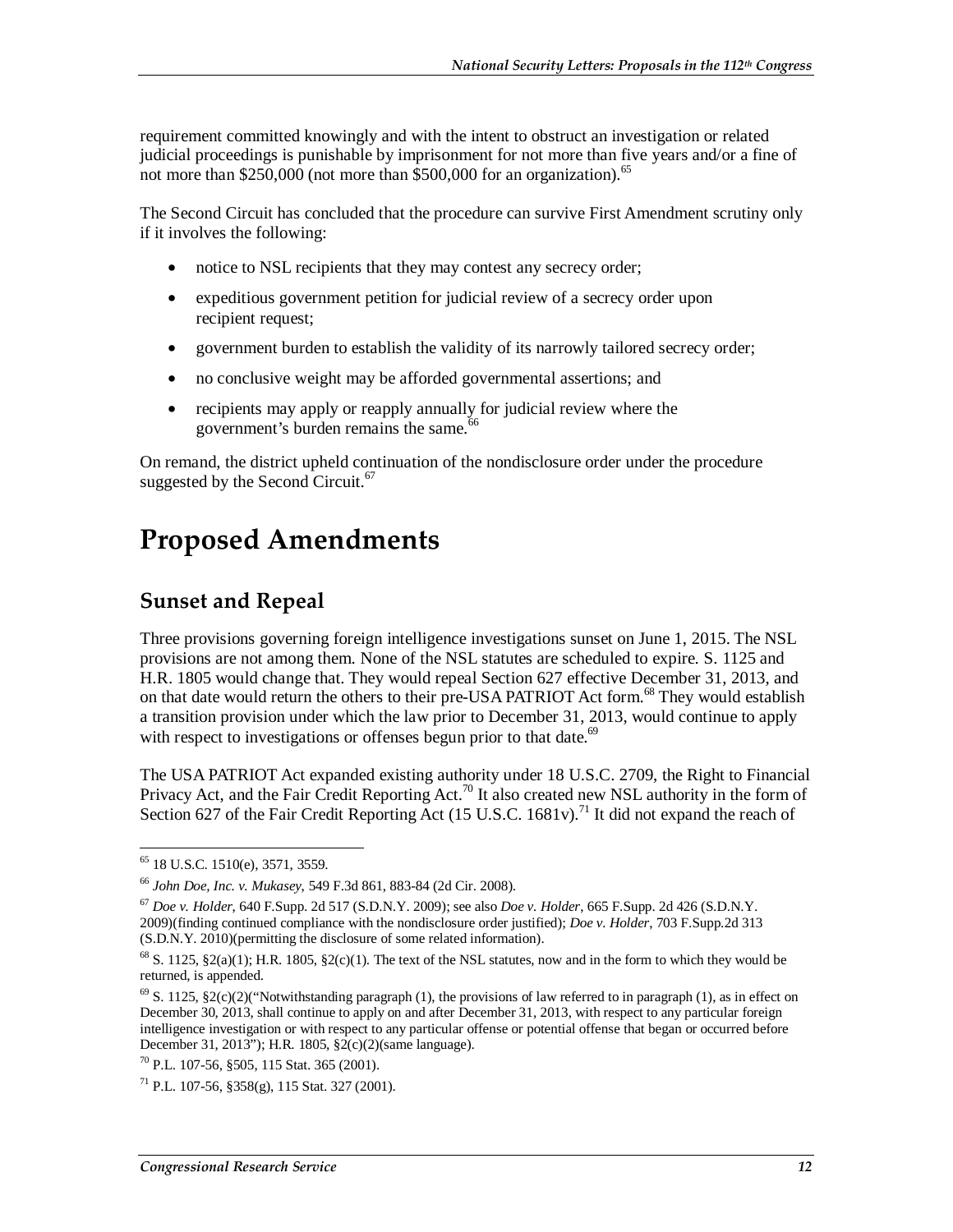requirement committed knowingly and with the intent to obstruct an investigation or related judicial proceedings is punishable by imprisonment for not more than five years and/or a fine of not more than  $$250,000$  (not more than  $$500,000$  for an organization).<sup>65</sup>

The Second Circuit has concluded that the procedure can survive First Amendment scrutiny only if it involves the following:

- notice to NSL recipients that they may contest any secrecy order;
- expeditious government petition for judicial review of a secrecy order upon recipient request;
- government burden to establish the validity of its narrowly tailored secrecy order;
- no conclusive weight may be afforded governmental assertions; and
- recipients may apply or reapply annually for judicial review where the government's burden remains the same.<sup>66</sup>

On remand, the district upheld continuation of the nondisclosure order under the procedure suggested by the Second Circuit.<sup>67</sup>

## **Proposed Amendments**

### **Sunset and Repeal**

Three provisions governing foreign intelligence investigations sunset on June 1, 2015. The NSL provisions are not among them. None of the NSL statutes are scheduled to expire. S. 1125 and H.R. 1805 would change that. They would repeal Section 627 effective December 31, 2013, and on that date would return the others to their pre-USA PATRIOT Act form.<sup>68</sup> They would establish a transition provision under which the law prior to December 31, 2013, would continue to apply with respect to investigations or offenses begun prior to that date. $69$ 

The USA PATRIOT Act expanded existing authority under 18 U.S.C. 2709, the Right to Financial Privacy Act, and the Fair Credit Reporting Act.<sup>70</sup> It also created new NSL authority in the form of Section 627 of the Fair Credit Reporting Act (15 U.S.C. 1681v).<sup>71</sup> It did not expand the reach of

<sup>-</sup>65 18 U.S.C. 1510(e), 3571, 3559.

<sup>66</sup> *John Doe, Inc. v. Mukasey*, 549 F.3d 861, 883-84 (2d Cir. 2008).

<sup>67</sup> *Doe v. Holder*, 640 F.Supp. 2d 517 (S.D.N.Y. 2009); see also *Doe v. Holder*, 665 F.Supp. 2d 426 (S.D.N.Y. 2009)(finding continued compliance with the nondisclosure order justified); *Doe v. Holder*, 703 F.Supp.2d 313 (S.D.N.Y. 2010)(permitting the disclosure of some related information).

 $68$  S. 1125,  $\S2(a)(1)$ ; H.R. 1805,  $\S2(c)(1)$ . The text of the NSL statutes, now and in the form to which they would be returned, is appended.

 $69$  S. 1125,  $\S2(c)(2)$  ("Notwithstanding paragraph (1), the provisions of law referred to in paragraph (1), as in effect on December 30, 2013, shall continue to apply on and after December 31, 2013, with respect to any particular foreign intelligence investigation or with respect to any particular offense or potential offense that began or occurred before December 31, 2013"); H.R. 1805, §2(c)(2)(same language).

 $^{70}$  P.L. 107-56, §505, 115 Stat. 365 (2001).

 $^{71}$  P.L. 107-56, §358(g), 115 Stat. 327 (2001).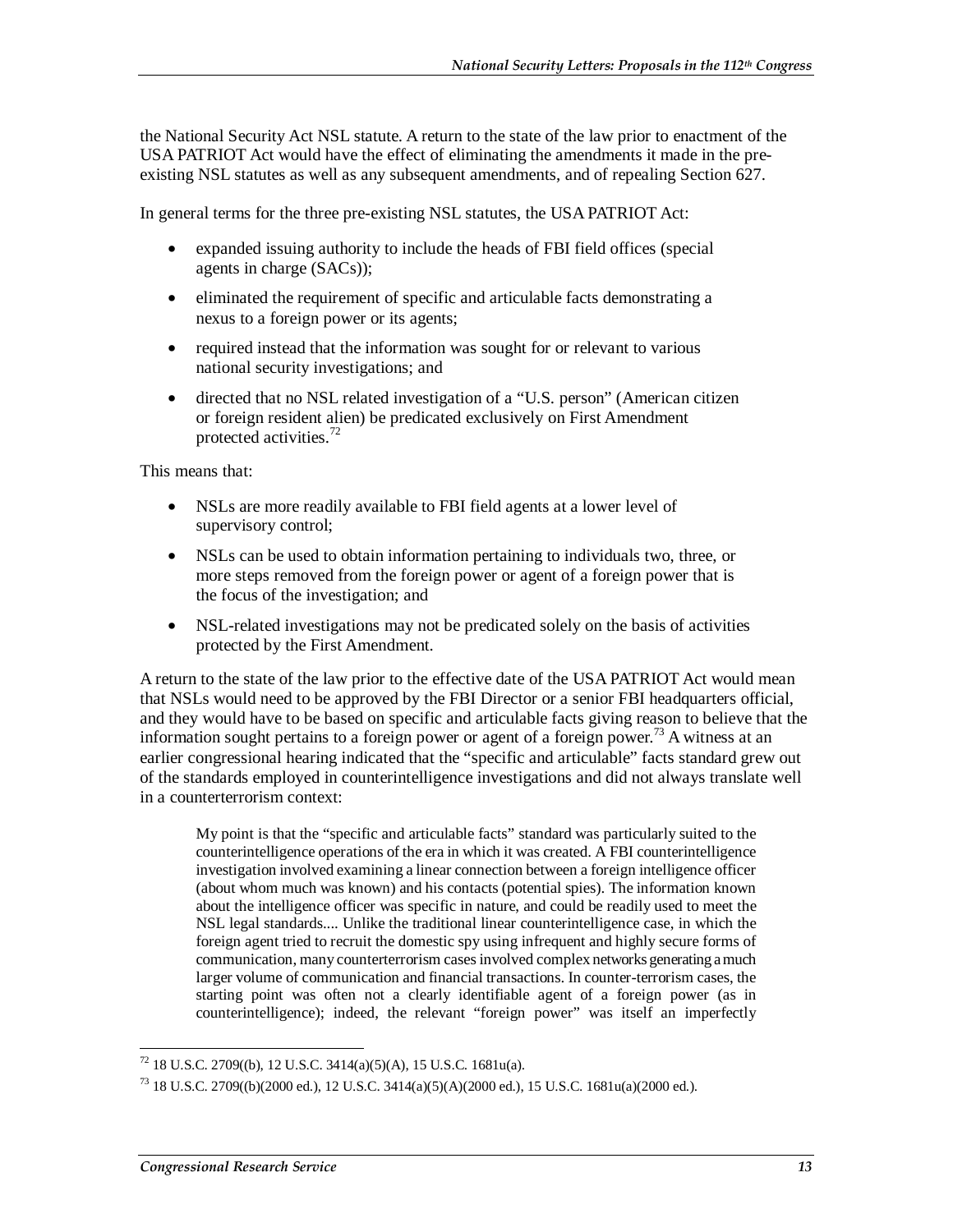the National Security Act NSL statute. A return to the state of the law prior to enactment of the USA PATRIOT Act would have the effect of eliminating the amendments it made in the preexisting NSL statutes as well as any subsequent amendments, and of repealing Section 627.

In general terms for the three pre-existing NSL statutes, the USA PATRIOT Act:

- expanded issuing authority to include the heads of FBI field offices (special agents in charge (SACs));
- eliminated the requirement of specific and articulable facts demonstrating a nexus to a foreign power or its agents;
- required instead that the information was sought for or relevant to various national security investigations; and
- directed that no NSL related investigation of a "U.S. person" (American citizen or foreign resident alien) be predicated exclusively on First Amendment protected activities.<sup>72</sup>

This means that:

- NSLs are more readily available to FBI field agents at a lower level of supervisory control;
- NSLs can be used to obtain information pertaining to individuals two, three, or more steps removed from the foreign power or agent of a foreign power that is the focus of the investigation; and
- NSL-related investigations may not be predicated solely on the basis of activities protected by the First Amendment.

A return to the state of the law prior to the effective date of the USA PATRIOT Act would mean that NSLs would need to be approved by the FBI Director or a senior FBI headquarters official, and they would have to be based on specific and articulable facts giving reason to believe that the information sought pertains to a foreign power or agent of a foreign power.<sup>73</sup> A witness at an earlier congressional hearing indicated that the "specific and articulable" facts standard grew out of the standards employed in counterintelligence investigations and did not always translate well in a counterterrorism context:

My point is that the "specific and articulable facts" standard was particularly suited to the counterintelligence operations of the era in which it was created. A FBI counterintelligence investigation involved examining a linear connection between a foreign intelligence officer (about whom much was known) and his contacts (potential spies). The information known about the intelligence officer was specific in nature, and could be readily used to meet the NSL legal standards.... Unlike the traditional linear counterintelligence case, in which the foreign agent tried to recruit the domestic spy using infrequent and highly secure forms of communication, many counterterrorism cases involved complex networks generating a much larger volume of communication and financial transactions. In counter-terrorism cases, the starting point was often not a clearly identifiable agent of a foreign power (as in counterintelligence); indeed, the relevant "foreign power" was itself an imperfectly

 $\overline{a}$  $^{72}$  18 U.S.C. 2709((b), 12 U.S.C. 3414(a)(5)(A), 15 U.S.C. 1681u(a).

 $^{73}$  18 U.S.C. 2709((b)(2000 ed.), 12 U.S.C. 3414(a)(5)(A)(2000 ed.), 15 U.S.C. 1681u(a)(2000 ed.).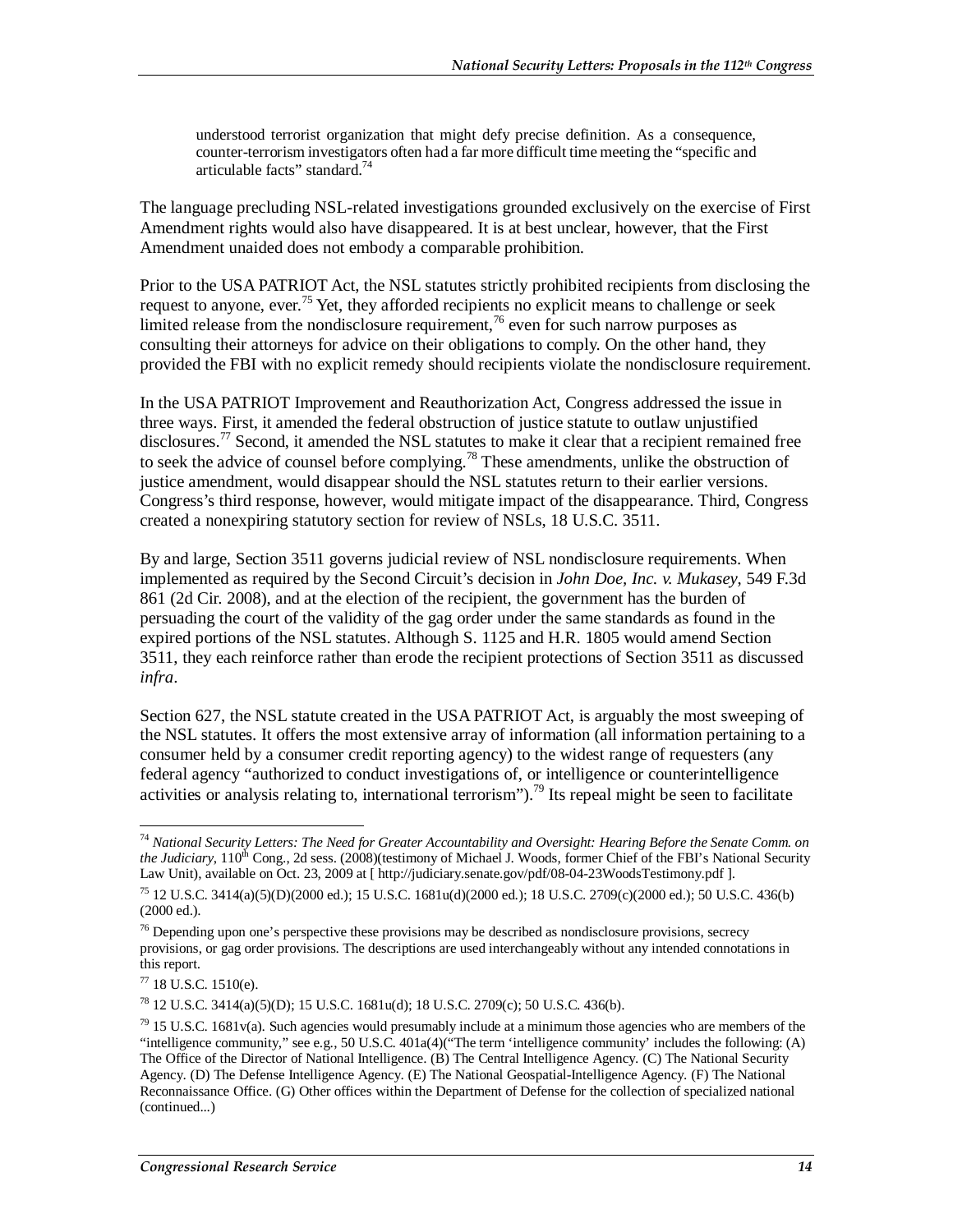understood terrorist organization that might defy precise definition. As a consequence, counter-terrorism investigators often had a far more difficult time meeting the "specific and articulable facts" standard.74

The language precluding NSL-related investigations grounded exclusively on the exercise of First Amendment rights would also have disappeared. It is at best unclear, however, that the First Amendment unaided does not embody a comparable prohibition.

Prior to the USA PATRIOT Act, the NSL statutes strictly prohibited recipients from disclosing the request to anyone, ever.<sup>75</sup> Yet, they afforded recipients no explicit means to challenge or seek limited release from the nondisclosure requirement,<sup>76</sup> even for such narrow purposes as consulting their attorneys for advice on their obligations to comply. On the other hand, they provided the FBI with no explicit remedy should recipients violate the nondisclosure requirement.

In the USA PATRIOT Improvement and Reauthorization Act, Congress addressed the issue in three ways. First, it amended the federal obstruction of justice statute to outlaw unjustified disclosures.<sup>77</sup> Second, it amended the NSL statutes to make it clear that a recipient remained free to seek the advice of counsel before complying.78 These amendments, unlike the obstruction of justice amendment, would disappear should the NSL statutes return to their earlier versions. Congress's third response, however, would mitigate impact of the disappearance. Third, Congress created a nonexpiring statutory section for review of NSLs, 18 U.S.C. 3511.

By and large, Section 3511 governs judicial review of NSL nondisclosure requirements. When implemented as required by the Second Circuit's decision in *John Doe, Inc. v. Mukasey*, 549 F.3d 861 (2d Cir. 2008), and at the election of the recipient, the government has the burden of persuading the court of the validity of the gag order under the same standards as found in the expired portions of the NSL statutes. Although S. 1125 and H.R. 1805 would amend Section 3511, they each reinforce rather than erode the recipient protections of Section 3511 as discussed *infra*.

Section 627, the NSL statute created in the USA PATRIOT Act, is arguably the most sweeping of the NSL statutes. It offers the most extensive array of information (all information pertaining to a consumer held by a consumer credit reporting agency) to the widest range of requesters (any federal agency "authorized to conduct investigations of, or intelligence or counterintelligence activities or analysis relating to, international terrorism").<sup>79</sup> Its repeal might be seen to facilitate

-

<sup>74</sup> *National Security Letters: The Need for Greater Accountability and Oversight: Hearing Before the Senate Comm. on the Judiciary*, 110<sup>th</sup> Cong., 2d sess. (2008)(testimony of Michael J. Woods, former Chief of the FBI's National Security Law Unit), available on Oct. 23, 2009 at [ http://judiciary.senate.gov/pdf/08-04-23WoodsTestimony.pdf ].

<sup>75 12</sup> U.S.C. 3414(a)(5)(D)(2000 ed.); 15 U.S.C. 1681u(d)(2000 ed.); 18 U.S.C. 2709(c)(2000 ed.); 50 U.S.C. 436(b) (2000 ed.).

 $76$  Depending upon one's perspective these provisions may be described as nondisclosure provisions, secrecy provisions, or gag order provisions. The descriptions are used interchangeably without any intended connotations in this report.

 $77$  18 U.S.C. 1510(e).

<sup>78 12</sup> U.S.C. 3414(a)(5)(D); 15 U.S.C. 1681u(d); 18 U.S.C. 2709(c); 50 U.S.C. 436(b).

 $^{79}$  15 U.S.C. 1681v(a). Such agencies would presumably include at a minimum those agencies who are members of the "intelligence community," see e.g., 50 U.S.C. 401a(4)("The term 'intelligence community' includes the following: (A) The Office of the Director of National Intelligence. (B) The Central Intelligence Agency. (C) The National Security Agency. (D) The Defense Intelligence Agency. (E) The National Geospatial-Intelligence Agency. (F) The National Reconnaissance Office. (G) Other offices within the Department of Defense for the collection of specialized national (continued...)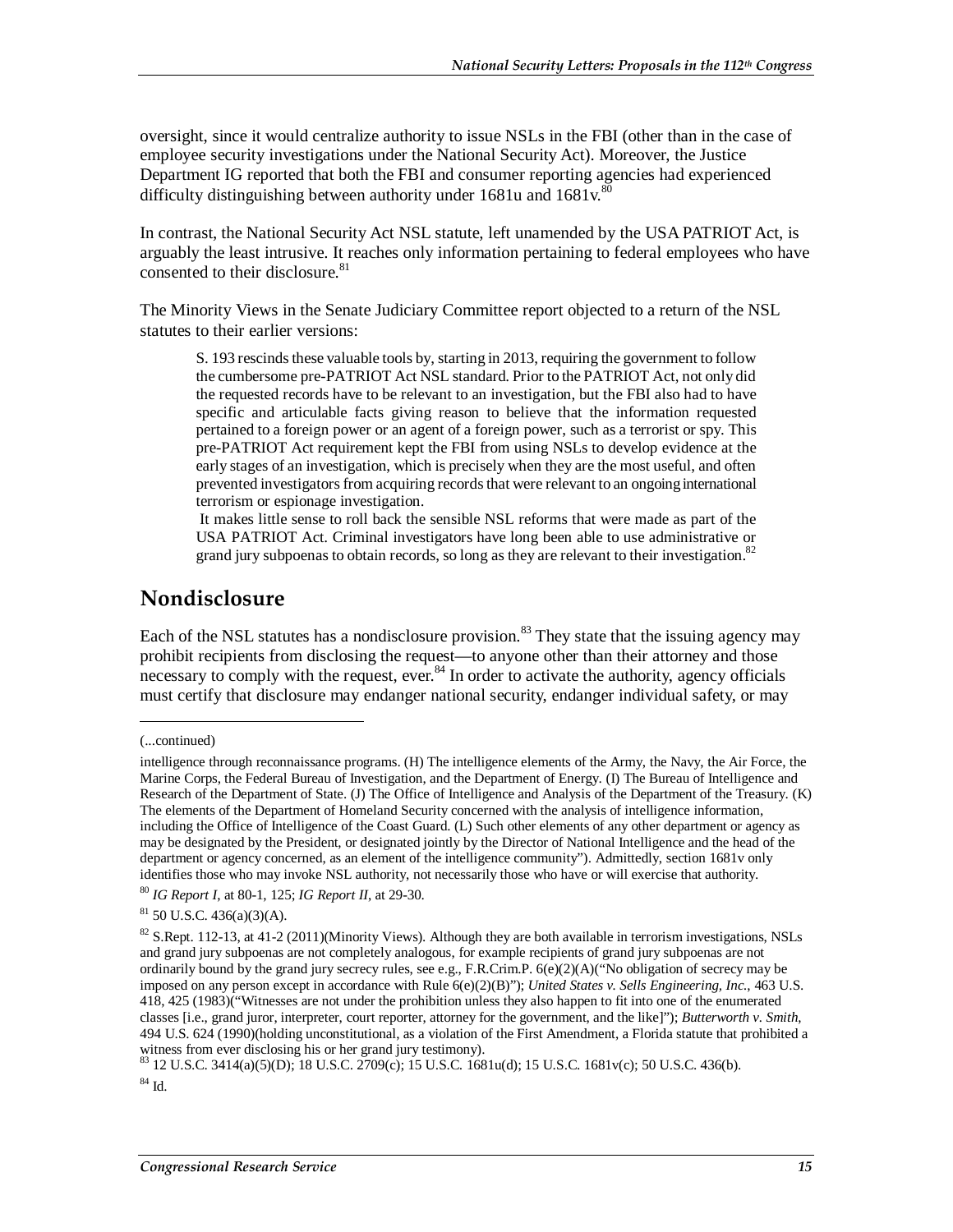oversight, since it would centralize authority to issue NSLs in the FBI (other than in the case of employee security investigations under the National Security Act). Moreover, the Justice Department IG reported that both the FBI and consumer reporting agencies had experienced difficulty distinguishing between authority under  $1681u$  and  $1681v$ .<sup>80</sup>

In contrast, the National Security Act NSL statute, left unamended by the USA PATRIOT Act, is arguably the least intrusive. It reaches only information pertaining to federal employees who have consented to their disclosure.<sup>81</sup>

The Minority Views in the Senate Judiciary Committee report objected to a return of the NSL statutes to their earlier versions:

S. 193 rescinds these valuable tools by, starting in 2013, requiring the government to follow the cumbersome pre-PATRIOT Act NSL standard. Prior to the PATRIOT Act, not only did the requested records have to be relevant to an investigation, but the FBI also had to have specific and articulable facts giving reason to believe that the information requested pertained to a foreign power or an agent of a foreign power, such as a terrorist or spy. This pre-PATRIOT Act requirement kept the FBI from using NSLs to develop evidence at the early stages of an investigation, which is precisely when they are the most useful, and often prevented investigators from acquiring records that were relevant to an ongoing international terrorism or espionage investigation.

 It makes little sense to roll back the sensible NSL reforms that were made as part of the USA PATRIOT Act. Criminal investigators have long been able to use administrative or grand jury subpoenas to obtain records, so long as they are relevant to their investigation.<sup>82</sup>

#### **Nondisclosure**

Each of the NSL statutes has a nondisclosure provision.<sup>83</sup> They state that the issuing agency may prohibit recipients from disclosing the request—to anyone other than their attorney and those necessary to comply with the request, ever.<sup>84</sup> In order to activate the authority, agency officials must certify that disclosure may endanger national security, endanger individual safety, or may

1

<sup>(...</sup>continued)

intelligence through reconnaissance programs. (H) The intelligence elements of the Army, the Navy, the Air Force, the Marine Corps, the Federal Bureau of Investigation, and the Department of Energy. (I) The Bureau of Intelligence and Research of the Department of State. (J) The Office of Intelligence and Analysis of the Department of the Treasury. (K) The elements of the Department of Homeland Security concerned with the analysis of intelligence information, including the Office of Intelligence of the Coast Guard. (L) Such other elements of any other department or agency as may be designated by the President, or designated jointly by the Director of National Intelligence and the head of the department or agency concerned, as an element of the intelligence community"). Admittedly, section 1681v only identifies those who may invoke NSL authority, not necessarily those who have or will exercise that authority.

<sup>80</sup> *IG Report I*, at 80-1, 125; *IG Report II*, at 29-30.

 $81$  50 U.S.C. 436(a)(3)(A).

 $82$  S.Rept. 112-13, at 41-2 (2011)(Minority Views). Although they are both available in terrorism investigations, NSLs and grand jury subpoenas are not completely analogous, for example recipients of grand jury subpoenas are not ordinarily bound by the grand jury secrecy rules, see e.g., F.R.Crim.P. 6(e)(2)(A)("No obligation of secrecy may be imposed on any person except in accordance with Rule 6(e)(2)(B)"); *United States v. Sells Engineering, Inc.*, 463 U.S. 418, 425 (1983)("Witnesses are not under the prohibition unless they also happen to fit into one of the enumerated classes [i.e., grand juror, interpreter, court reporter, attorney for the government, and the like]"); *Butterworth v. Smith*, 494 U.S. 624 (1990)(holding unconstitutional, as a violation of the First Amendment, a Florida statute that prohibited a witness from ever disclosing his or her grand jury testimony).

 $83$  12 U.S.C. 3414(a)(5)(D); 18 U.S.C. 2709(c); 15 U.S.C. 1681u(d); 15 U.S.C. 1681v(c); 50 U.S.C. 436(b).  $84$  Id.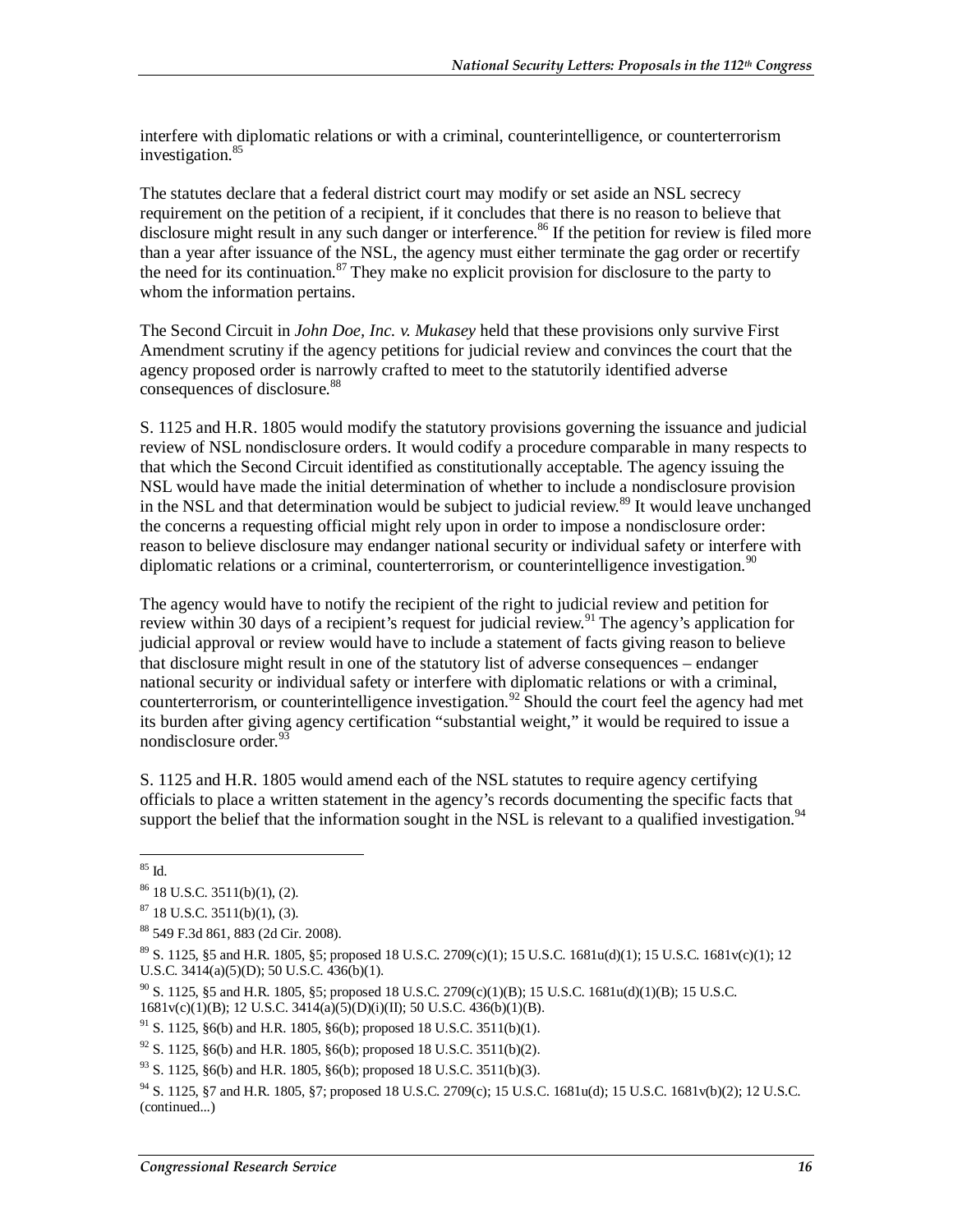interfere with diplomatic relations or with a criminal, counterintelligence, or counterterrorism investigation.<sup>85</sup>

The statutes declare that a federal district court may modify or set aside an NSL secrecy requirement on the petition of a recipient, if it concludes that there is no reason to believe that disclosure might result in any such danger or interference.<sup>86</sup> If the petition for review is filed more than a year after issuance of the NSL, the agency must either terminate the gag order or recertify the need for its continuation.<sup>87</sup> They make no explicit provision for disclosure to the party to whom the information pertains.

The Second Circuit in *John Doe, Inc. v. Mukasey* held that these provisions only survive First Amendment scrutiny if the agency petitions for judicial review and convinces the court that the agency proposed order is narrowly crafted to meet to the statutorily identified adverse consequences of disclosure.<sup>88</sup>

S. 1125 and H.R. 1805 would modify the statutory provisions governing the issuance and judicial review of NSL nondisclosure orders. It would codify a procedure comparable in many respects to that which the Second Circuit identified as constitutionally acceptable. The agency issuing the NSL would have made the initial determination of whether to include a nondisclosure provision in the NSL and that determination would be subject to judicial review.<sup>89</sup> It would leave unchanged the concerns a requesting official might rely upon in order to impose a nondisclosure order: reason to believe disclosure may endanger national security or individual safety or interfere with diplomatic relations or a criminal, counterterrorism, or counterintelligence investigation.<sup>90</sup>

The agency would have to notify the recipient of the right to judicial review and petition for review within 30 days of a recipient's request for judicial review.<sup>91</sup> The agency's application for judicial approval or review would have to include a statement of facts giving reason to believe that disclosure might result in one of the statutory list of adverse consequences – endanger national security or individual safety or interfere with diplomatic relations or with a criminal, counterterrorism, or counterintelligence investigation.<sup>92</sup> Should the court feel the agency had met its burden after giving agency certification "substantial weight," it would be required to issue a nondisclosure order.<sup>9</sup>

S. 1125 and H.R. 1805 would amend each of the NSL statutes to require agency certifying officials to place a written statement in the agency's records documenting the specific facts that support the belief that the information sought in the NSL is relevant to a qualified investigation.<sup>94</sup>

<sup>&</sup>lt;u>.</u> 85 Id.

 $86$  18 U.S.C. 3511(b)(1), (2).

 $87$  18 U.S.C. 3511(b)(1), (3).

<sup>88 549</sup> F.3d 861, 883 (2d Cir. 2008).

<sup>89</sup> S. 1125, §5 and H.R. 1805, §5; proposed 18 U.S.C. 2709(c)(1); 15 U.S.C. 1681u(d)(1); 15 U.S.C. 1681v(c)(1); 12 U.S.C. 3414(a)(5)(D); 50 U.S.C. 436(b)(1).

 $^{90}$  S. 1125, §5 and H.R. 1805, §5; proposed 18 U.S.C. 2709(c)(1)(B); 15 U.S.C. 1681u(d)(1)(B); 15 U.S.C.

<sup>1681</sup>v(c)(1)(B); 12 U.S.C. 3414(a)(5)(D)(i)(II); 50 U.S.C. 436(b)(1)(B).

<sup>&</sup>lt;sup>91</sup> S. 1125, §6(b) and H.R. 1805, §6(b); proposed 18 U.S.C. 3511(b)(1).

 $92$  S. 1125, §6(b) and H.R. 1805, §6(b); proposed 18 U.S.C. 3511(b)(2).

 $93$  S. 1125,  $\S6(b)$  and H.R. 1805,  $\S6(b)$ ; proposed 18 U.S.C. 3511(b)(3).

<sup>94</sup> S. 1125, §7 and H.R. 1805, §7; proposed 18 U.S.C. 2709(c); 15 U.S.C. 1681u(d); 15 U.S.C. 1681v(b)(2); 12 U.S.C. (continued...)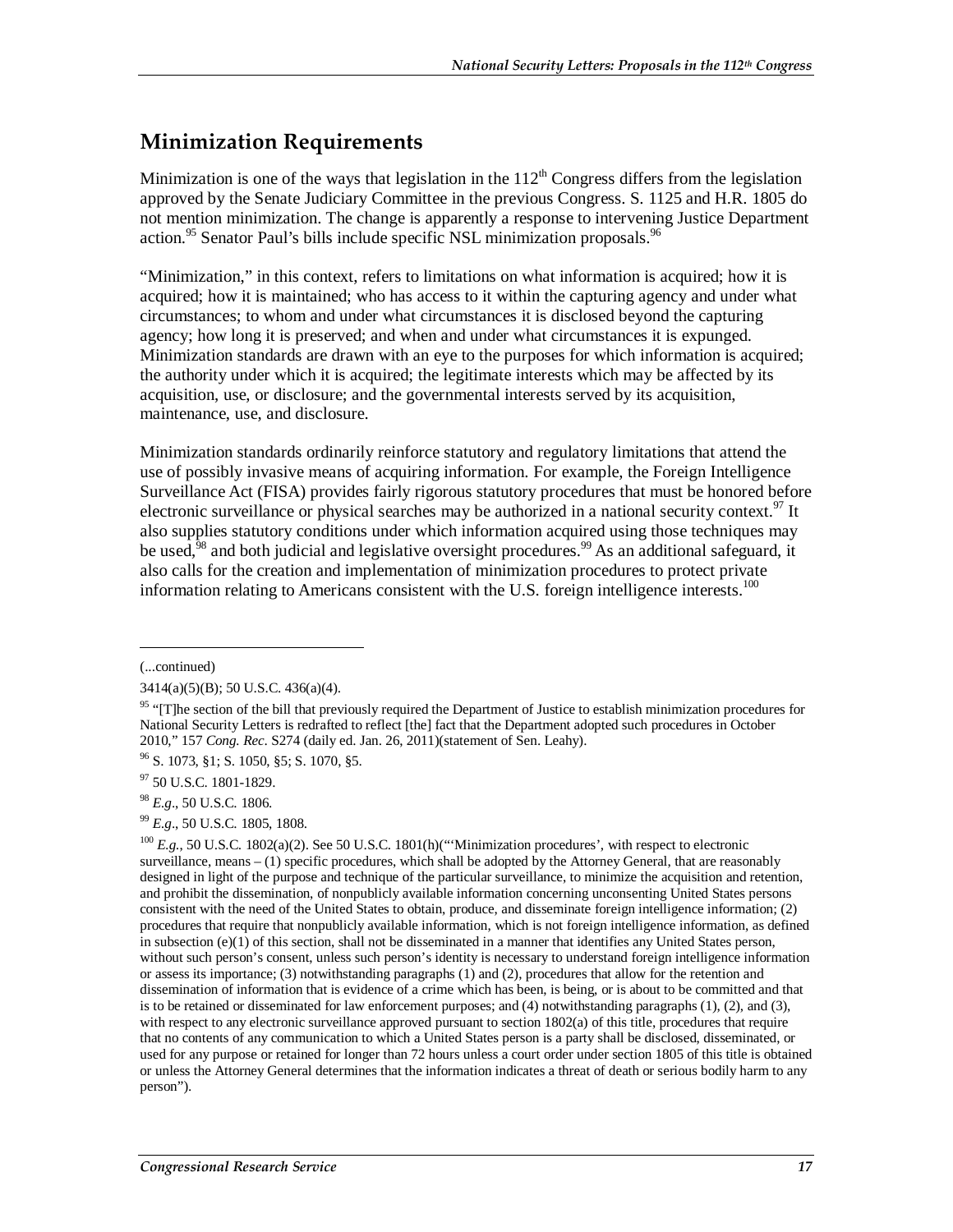## **Minimization Requirements**

Minimization is one of the ways that legislation in the  $112<sup>th</sup>$  Congress differs from the legislation approved by the Senate Judiciary Committee in the previous Congress. S. 1125 and H.R. 1805 do not mention minimization. The change is apparently a response to intervening Justice Department action.<sup>95</sup> Senator Paul's bills include specific NSL minimization proposals.<sup>96</sup>

"Minimization," in this context, refers to limitations on what information is acquired; how it is acquired; how it is maintained; who has access to it within the capturing agency and under what circumstances; to whom and under what circumstances it is disclosed beyond the capturing agency; how long it is preserved; and when and under what circumstances it is expunged. Minimization standards are drawn with an eye to the purposes for which information is acquired; the authority under which it is acquired; the legitimate interests which may be affected by its acquisition, use, or disclosure; and the governmental interests served by its acquisition, maintenance, use, and disclosure.

Minimization standards ordinarily reinforce statutory and regulatory limitations that attend the use of possibly invasive means of acquiring information. For example, the Foreign Intelligence Surveillance Act (FISA) provides fairly rigorous statutory procedures that must be honored before electronic surveillance or physical searches may be authorized in a national security context.<sup>97</sup> It also supplies statutory conditions under which information acquired using those techniques may be used, $\frac{98}{98}$  and both judicial and legislative oversight procedures.<sup>99</sup> As an additional safeguard, it also calls for the creation and implementation of minimization procedures to protect private information relating to Americans consistent with the U.S. foreign intelligence interests.<sup>100</sup>

(...continued)

1

<sup>3414(</sup>a)(5)(B); 50 U.S.C. 436(a)(4).

<sup>&</sup>lt;sup>95</sup> "[T]he section of the bill that previously required the Department of Justice to establish minimization procedures for National Security Letters is redrafted to reflect [the] fact that the Department adopted such procedures in October 2010," 157 *Cong. Rec*. S274 (daily ed. Jan. 26, 2011)(statement of Sen. Leahy). 96 S. 1073, §1; S. 1050, §5; S. 1070, §5.

<sup>97 50</sup> U.S.C. 1801-1829.

<sup>98</sup> *E.g*., 50 U.S.C. 1806.

<sup>99</sup> *E.g*., 50 U.S.C. 1805, 1808.

<sup>&</sup>lt;sup>100</sup> *E.g.*, 50 U.S.C. 1802(a)(2). See 50 U.S.C. 1801(h)("Minimization procedures', with respect to electronic surveillance, means  $-(1)$  specific procedures, which shall be adopted by the Attorney General, that are reasonably designed in light of the purpose and technique of the particular surveillance, to minimize the acquisition and retention, and prohibit the dissemination, of nonpublicly available information concerning unconsenting United States persons consistent with the need of the United States to obtain, produce, and disseminate foreign intelligence information; (2) procedures that require that nonpublicly available information, which is not foreign intelligence information, as defined in subsection (e)(1) of this section, shall not be disseminated in a manner that identifies any United States person, without such person's consent, unless such person's identity is necessary to understand foreign intelligence information or assess its importance; (3) notwithstanding paragraphs (1) and (2), procedures that allow for the retention and dissemination of information that is evidence of a crime which has been, is being, or is about to be committed and that is to be retained or disseminated for law enforcement purposes; and (4) notwithstanding paragraphs (1), (2), and (3), with respect to any electronic surveillance approved pursuant to section 1802(a) of this title, procedures that require that no contents of any communication to which a United States person is a party shall be disclosed, disseminated, or used for any purpose or retained for longer than 72 hours unless a court order under section 1805 of this title is obtained or unless the Attorney General determines that the information indicates a threat of death or serious bodily harm to any person").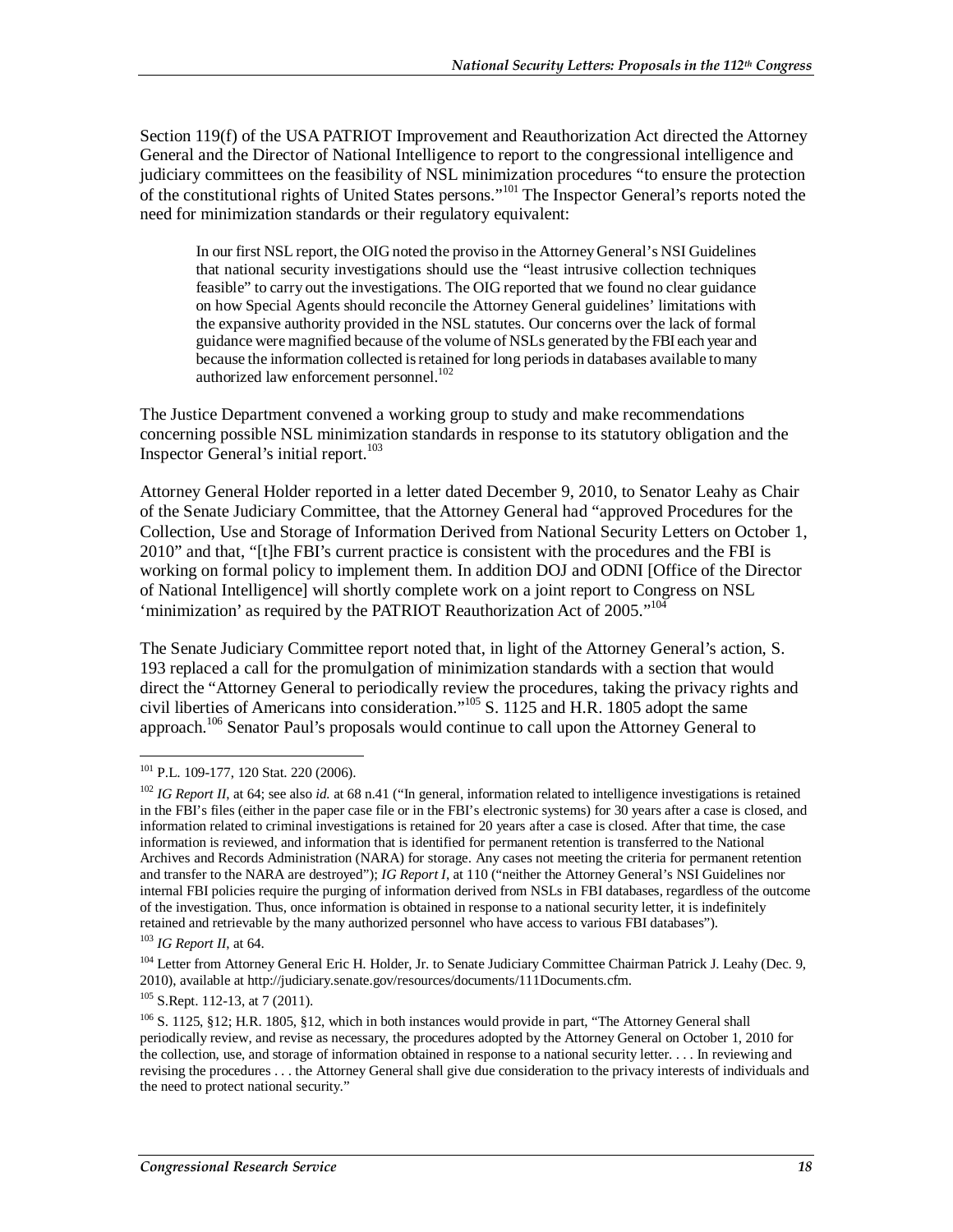Section 119(f) of the USA PATRIOT Improvement and Reauthorization Act directed the Attorney General and the Director of National Intelligence to report to the congressional intelligence and judiciary committees on the feasibility of NSL minimization procedures "to ensure the protection of the constitutional rights of United States persons."<sup>101</sup> The Inspector General's reports noted the need for minimization standards or their regulatory equivalent:

In our first NSL report, the OIG noted the proviso in the Attorney General's NSI Guidelines that national security investigations should use the "least intrusive collection techniques feasible" to carry out the investigations. The OIG reported that we found no clear guidance on how Special Agents should reconcile the Attorney General guidelines' limitations with the expansive authority provided in the NSL statutes. Our concerns over the lack of formal guidance were magnified because of the volume of NSLs generated by the FBI each year and because the information collected is retained for long periods in databases available to many authorized law enforcement personnel.<sup>102</sup>

The Justice Department convened a working group to study and make recommendations concerning possible NSL minimization standards in response to its statutory obligation and the Inspector General's initial report.<sup>103</sup>

Attorney General Holder reported in a letter dated December 9, 2010, to Senator Leahy as Chair of the Senate Judiciary Committee, that the Attorney General had "approved Procedures for the Collection, Use and Storage of Information Derived from National Security Letters on October 1, 2010" and that, "[t]he FBI's current practice is consistent with the procedures and the FBI is working on formal policy to implement them. In addition DOJ and ODNI [Office of the Director of National Intelligence] will shortly complete work on a joint report to Congress on NSL 'minimization' as required by the PATRIOT Reauthorization Act of 2005."<sup>104</sup>

The Senate Judiciary Committee report noted that, in light of the Attorney General's action, S. 193 replaced a call for the promulgation of minimization standards with a section that would direct the "Attorney General to periodically review the procedures, taking the privacy rights and civil liberties of Americans into consideration."105 S. 1125 and H.R. 1805 adopt the same approach.<sup>106</sup> Senator Paul's proposals would continue to call upon the Attorney General to

<sup>105</sup> S.Rept. 112-13, at 7 (2011).

<sup>&</sup>lt;u>.</u> <sup>101</sup> P.L. 109-177, 120 Stat. 220 (2006).

<sup>&</sup>lt;sup>102</sup> *IG Report II*, at 64; see also *id.* at 68 n.41 ("In general, information related to intelligence investigations is retained in the FBI's files (either in the paper case file or in the FBI's electronic systems) for 30 years after a case is closed, and information related to criminal investigations is retained for 20 years after a case is closed. After that time, the case information is reviewed, and information that is identified for permanent retention is transferred to the National Archives and Records Administration (NARA) for storage. Any cases not meeting the criteria for permanent retention and transfer to the NARA are destroyed"); *IG Report I*, at 110 ("neither the Attorney General's NSI Guidelines nor internal FBI policies require the purging of information derived from NSLs in FBI databases, regardless of the outcome of the investigation. Thus, once information is obtained in response to a national security letter, it is indefinitely retained and retrievable by the many authorized personnel who have access to various FBI databases").

<sup>103</sup> *IG Report II*, at 64.

<sup>&</sup>lt;sup>104</sup> Letter from Attorney General Eric H. Holder, Jr. to Senate Judiciary Committee Chairman Patrick J. Leahy (Dec. 9, 2010), available at http://judiciary.senate.gov/resources/documents/111Documents.cfm.

<sup>&</sup>lt;sup>106</sup> S. 1125, §12; H.R. 1805, §12, which in both instances would provide in part, "The Attorney General shall periodically review, and revise as necessary, the procedures adopted by the Attorney General on October 1, 2010 for the collection, use, and storage of information obtained in response to a national security letter. . . . In reviewing and revising the procedures . . . the Attorney General shall give due consideration to the privacy interests of individuals and the need to protect national security."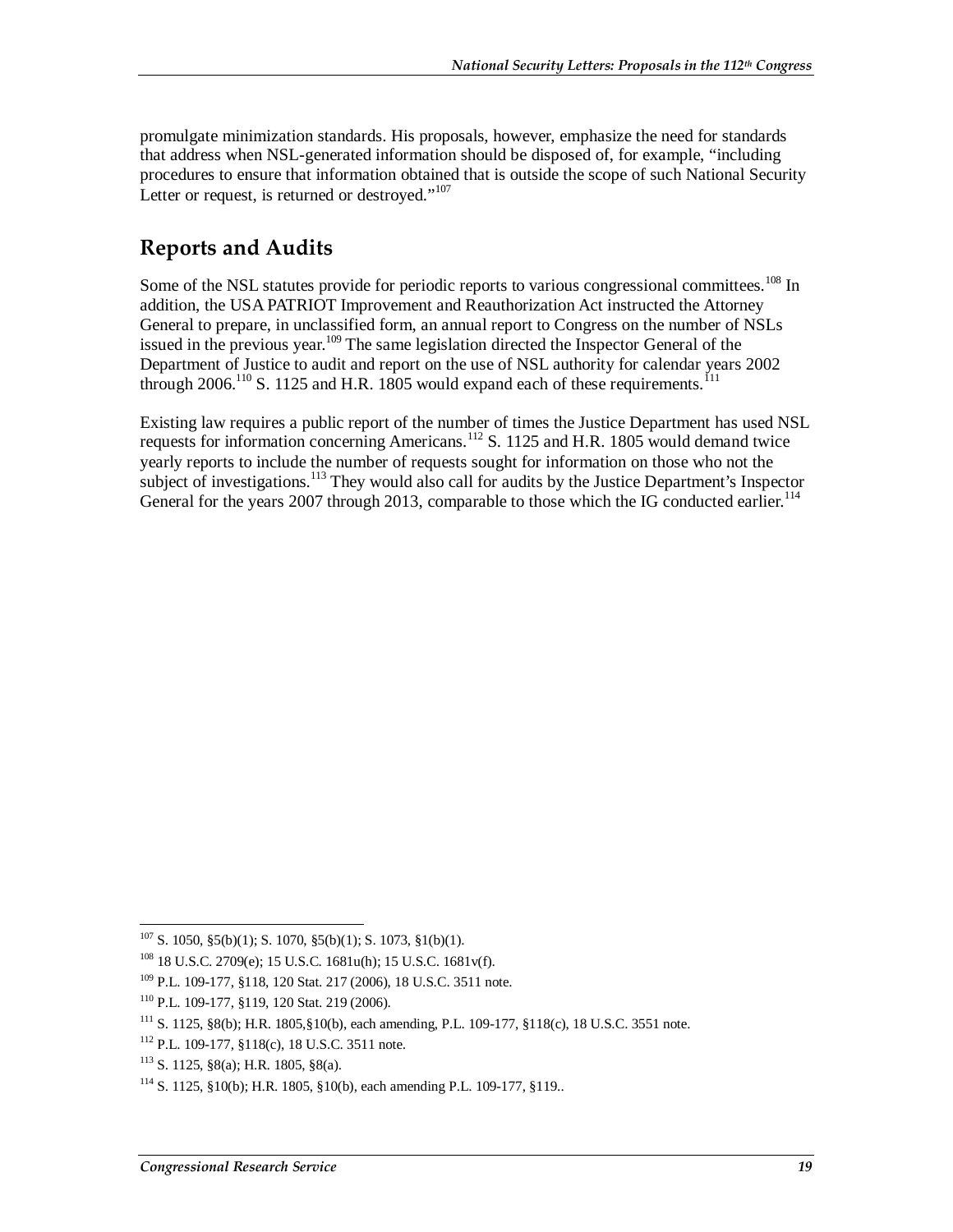promulgate minimization standards. His proposals, however, emphasize the need for standards that address when NSL-generated information should be disposed of, for example, "including procedures to ensure that information obtained that is outside the scope of such National Security Letter or request, is returned or destroyed."<sup>107</sup>

### **Reports and Audits**

Some of the NSL statutes provide for periodic reports to various congressional committees.<sup>108</sup> In addition, the USA PATRIOT Improvement and Reauthorization Act instructed the Attorney General to prepare, in unclassified form, an annual report to Congress on the number of NSLs issued in the previous year.<sup>109</sup> The same legislation directed the Inspector General of the Department of Justice to audit and report on the use of NSL authority for calendar years 2002 through 2006.<sup>110</sup> S. 1125 and H.R. 1805 would expand each of these requirements.<sup>111</sup>

Existing law requires a public report of the number of times the Justice Department has used NSL requests for information concerning Americans.<sup>112</sup> S. 1125 and H.R. 1805 would demand twice yearly reports to include the number of requests sought for information on those who not the subject of investigations.<sup>113</sup> They would also call for audits by the Justice Department's Inspector General for the years 2007 through 2013, comparable to those which the IG conducted earlier.<sup>114</sup>

-

 $107$  S. 1050, §5(b)(1); S. 1070, §5(b)(1); S. 1073, §1(b)(1).

<sup>108 18</sup> U.S.C. 2709(e); 15 U.S.C. 1681u(h); 15 U.S.C. 1681v(f).

<sup>109</sup> P.L. 109-177, §118, 120 Stat. 217 (2006), 18 U.S.C. 3511 note.

<sup>110</sup> P.L. 109-177, §119, 120 Stat. 219 (2006).

<sup>111</sup> S. 1125, §8(b); H.R. 1805,§10(b), each amending, P.L. 109-177, §118(c), 18 U.S.C. 3551 note.

<sup>112</sup> P.L. 109-177, §118(c), 18 U.S.C. 3511 note.

<sup>113</sup> S. 1125, §8(a); H.R. 1805, §8(a).

<sup>114</sup> S. 1125, §10(b); H.R. 1805, §10(b), each amending P.L. 109-177, §119..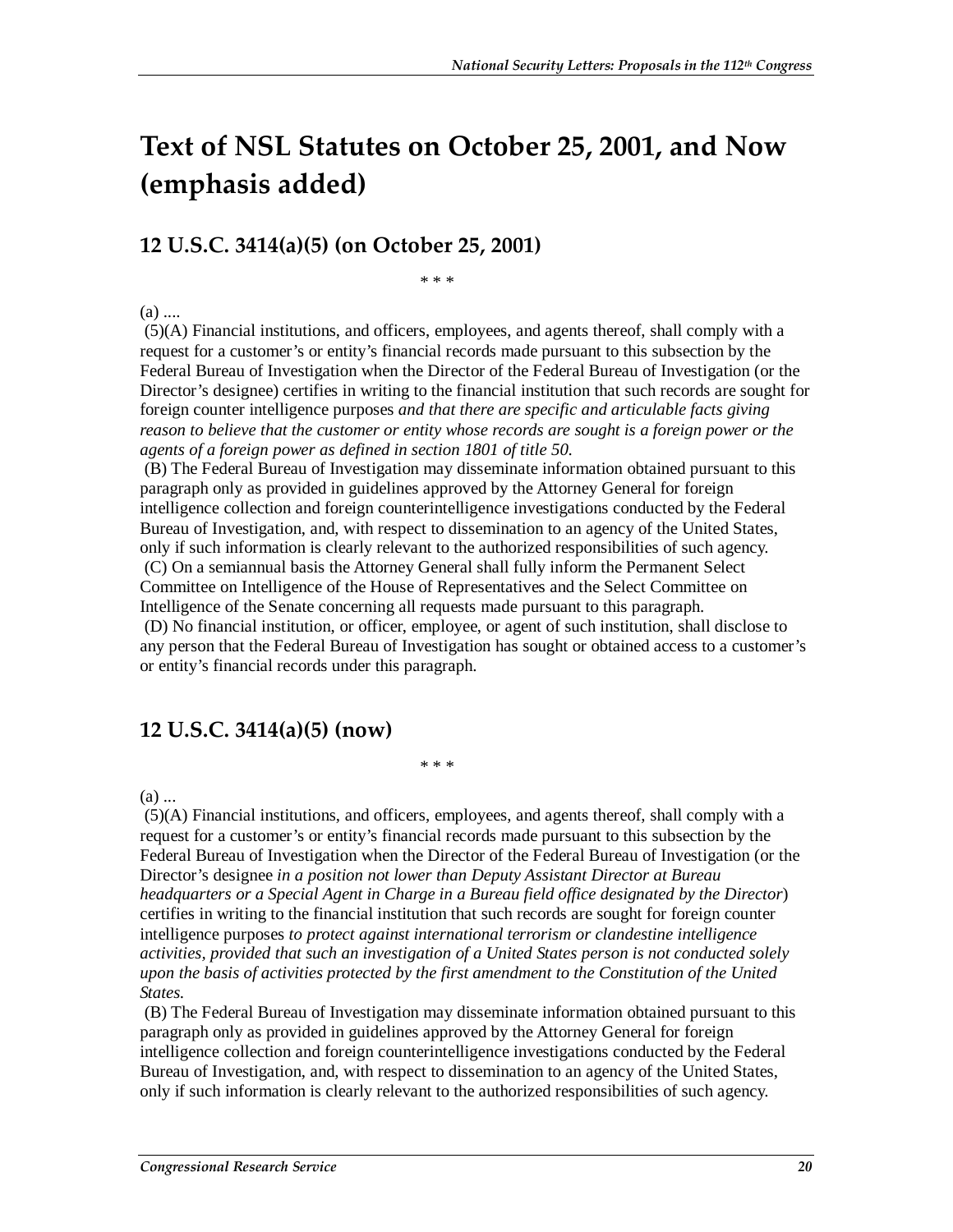## **Text of NSL Statutes on October 25, 2001, and Now (emphasis added)**

## **12 U.S.C. 3414(a)(5) (on October 25, 2001)**

\* \* \*

#### $(a)$  ....

 (5)(A) Financial institutions, and officers, employees, and agents thereof, shall comply with a request for a customer's or entity's financial records made pursuant to this subsection by the Federal Bureau of Investigation when the Director of the Federal Bureau of Investigation (or the Director's designee) certifies in writing to the financial institution that such records are sought for foreign counter intelligence purposes *and that there are specific and articulable facts giving reason to believe that the customer or entity whose records are sought is a foreign power or the agents of a foreign power as defined in section 1801 of title 50*.

 (B) The Federal Bureau of Investigation may disseminate information obtained pursuant to this paragraph only as provided in guidelines approved by the Attorney General for foreign intelligence collection and foreign counterintelligence investigations conducted by the Federal Bureau of Investigation, and, with respect to dissemination to an agency of the United States, only if such information is clearly relevant to the authorized responsibilities of such agency. (C) On a semiannual basis the Attorney General shall fully inform the Permanent Select Committee on Intelligence of the House of Representatives and the Select Committee on Intelligence of the Senate concerning all requests made pursuant to this paragraph.

 (D) No financial institution, or officer, employee, or agent of such institution, shall disclose to any person that the Federal Bureau of Investigation has sought or obtained access to a customer's or entity's financial records under this paragraph.

### **12 U.S.C. 3414(a)(5) (now)**

\* \* \*

(a) ...

 (5)(A) Financial institutions, and officers, employees, and agents thereof, shall comply with a request for a customer's or entity's financial records made pursuant to this subsection by the Federal Bureau of Investigation when the Director of the Federal Bureau of Investigation (or the Director's designee *in a position not lower than Deputy Assistant Director at Bureau headquarters or a Special Agent in Charge in a Bureau field office designated by the Director*) certifies in writing to the financial institution that such records are sought for foreign counter intelligence purposes *to protect against international terrorism or clandestine intelligence activities, provided that such an investigation of a United States person is not conducted solely upon the basis of activities protected by the first amendment to the Constitution of the United States.* 

 (B) The Federal Bureau of Investigation may disseminate information obtained pursuant to this paragraph only as provided in guidelines approved by the Attorney General for foreign intelligence collection and foreign counterintelligence investigations conducted by the Federal Bureau of Investigation, and, with respect to dissemination to an agency of the United States, only if such information is clearly relevant to the authorized responsibilities of such agency.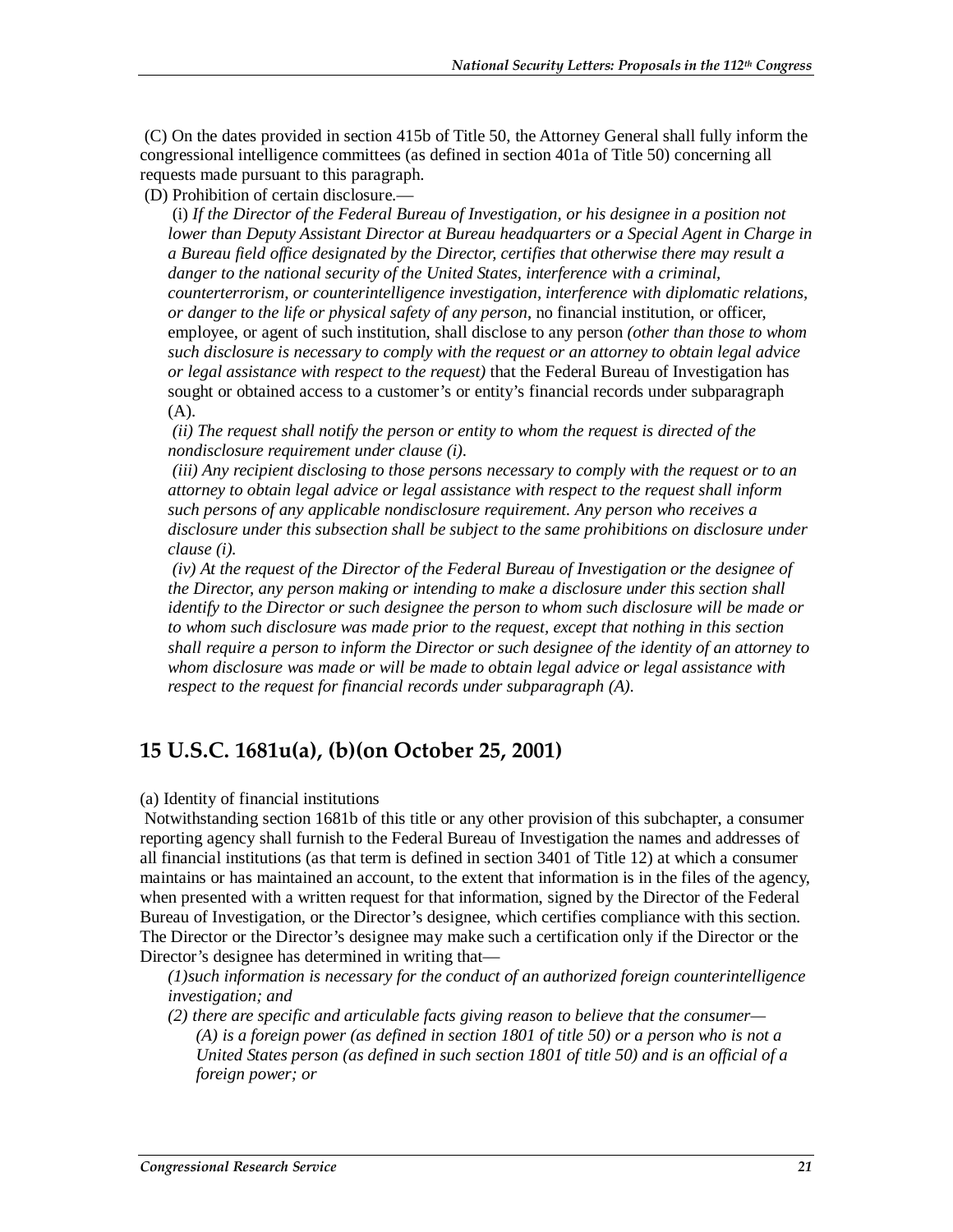(C) On the dates provided in section 415b of Title 50, the Attorney General shall fully inform the congressional intelligence committees (as defined in section 401a of Title 50) concerning all requests made pursuant to this paragraph.

(D) Prohibition of certain disclosure.—

 (i) *If the Director of the Federal Bureau of Investigation, or his designee in a position not lower than Deputy Assistant Director at Bureau headquarters or a Special Agent in Charge in a Bureau field office designated by the Director, certifies that otherwise there may result a danger to the national security of the United States, interference with a criminal, counterterrorism, or counterintelligence investigation, interference with diplomatic relations, or danger to the life or physical safety of any person*, no financial institution, or officer, employee, or agent of such institution, shall disclose to any person *(other than those to whom such disclosure is necessary to comply with the request or an attorney to obtain legal advice or legal assistance with respect to the request)* that the Federal Bureau of Investigation has sought or obtained access to a customer's or entity's financial records under subparagraph (A).

 *(ii) The request shall notify the person or entity to whom the request is directed of the nondisclosure requirement under clause (i).* 

 *(iii) Any recipient disclosing to those persons necessary to comply with the request or to an attorney to obtain legal advice or legal assistance with respect to the request shall inform such persons of any applicable nondisclosure requirement. Any person who receives a disclosure under this subsection shall be subject to the same prohibitions on disclosure under clause (i).* 

 *(iv) At the request of the Director of the Federal Bureau of Investigation or the designee of the Director, any person making or intending to make a disclosure under this section shall identify to the Director or such designee the person to whom such disclosure will be made or to whom such disclosure was made prior to the request, except that nothing in this section shall require a person to inform the Director or such designee of the identity of an attorney to whom disclosure was made or will be made to obtain legal advice or legal assistance with respect to the request for financial records under subparagraph (A).* 

## **15 U.S.C. 1681u(a), (b)(on October 25, 2001)**

(a) Identity of financial institutions

 Notwithstanding section 1681b of this title or any other provision of this subchapter, a consumer reporting agency shall furnish to the Federal Bureau of Investigation the names and addresses of all financial institutions (as that term is defined in section 3401 of Title 12) at which a consumer maintains or has maintained an account, to the extent that information is in the files of the agency, when presented with a written request for that information, signed by the Director of the Federal Bureau of Investigation, or the Director's designee, which certifies compliance with this section. The Director or the Director's designee may make such a certification only if the Director or the Director's designee has determined in writing that—

*(1)such information is necessary for the conduct of an authorized foreign counterintelligence investigation; and* 

*(2) there are specific and articulable facts giving reason to believe that the consumer—* 

*(A) is a foreign power (as defined in section 1801 of title 50) or a person who is not a United States person (as defined in such section 1801 of title 50) and is an official of a foreign power; or*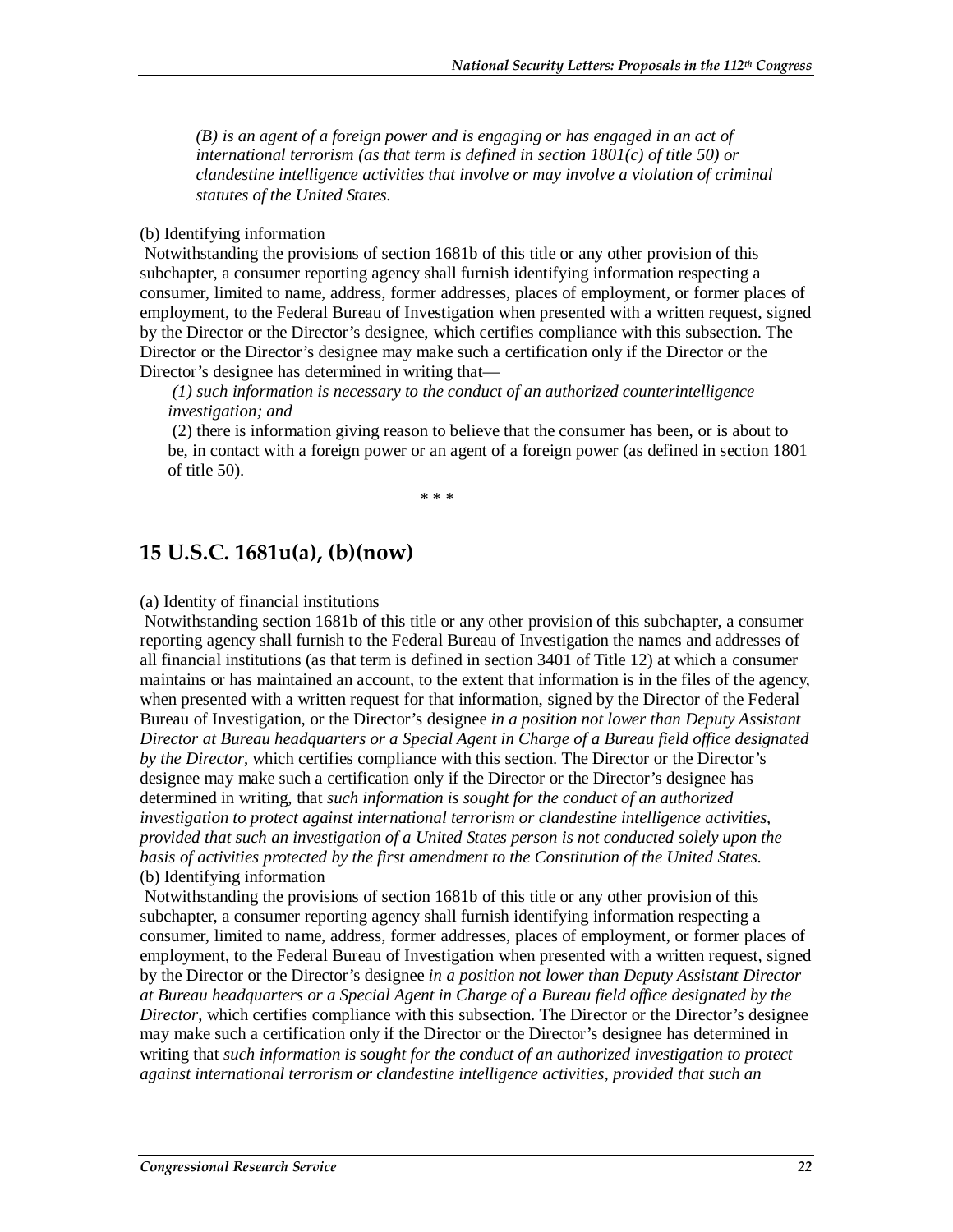*(B) is an agent of a foreign power and is engaging or has engaged in an act of international terrorism (as that term is defined in section 1801(c) of title 50) or clandestine intelligence activities that involve or may involve a violation of criminal statutes of the United States.* 

#### (b) Identifying information

 Notwithstanding the provisions of section 1681b of this title or any other provision of this subchapter, a consumer reporting agency shall furnish identifying information respecting a consumer, limited to name, address, former addresses, places of employment, or former places of employment, to the Federal Bureau of Investigation when presented with a written request, signed by the Director or the Director's designee, which certifies compliance with this subsection. The Director or the Director's designee may make such a certification only if the Director or the Director's designee has determined in writing that—

 *(1) such information is necessary to the conduct of an authorized counterintelligence investigation; and* 

 (2) there is information giving reason to believe that the consumer has been, or is about to be, in contact with a foreign power or an agent of a foreign power (as defined in section 1801 of title 50).

\* \* \*

## **15 U.S.C. 1681u(a), (b)(now)**

#### (a) Identity of financial institutions

 Notwithstanding section 1681b of this title or any other provision of this subchapter, a consumer reporting agency shall furnish to the Federal Bureau of Investigation the names and addresses of all financial institutions (as that term is defined in section 3401 of Title 12) at which a consumer maintains or has maintained an account, to the extent that information is in the files of the agency, when presented with a written request for that information, signed by the Director of the Federal Bureau of Investigation, or the Director's designee *in a position not lower than Deputy Assistant Director at Bureau headquarters or a Special Agent in Charge of a Bureau field office designated by the Director*, which certifies compliance with this section. The Director or the Director's designee may make such a certification only if the Director or the Director's designee has determined in writing, that *such information is sought for the conduct of an authorized investigation to protect against international terrorism or clandestine intelligence activities, provided that such an investigation of a United States person is not conducted solely upon the basis of activities protected by the first amendment to the Constitution of the United States.*  (b) Identifying information

 Notwithstanding the provisions of section 1681b of this title or any other provision of this subchapter, a consumer reporting agency shall furnish identifying information respecting a consumer, limited to name, address, former addresses, places of employment, or former places of employment, to the Federal Bureau of Investigation when presented with a written request, signed by the Director or the Director's designee *in a position not lower than Deputy Assistant Director at Bureau headquarters or a Special Agent in Charge of a Bureau field office designated by the Director*, which certifies compliance with this subsection. The Director or the Director's designee may make such a certification only if the Director or the Director's designee has determined in writing that *such information is sought for the conduct of an authorized investigation to protect against international terrorism or clandestine intelligence activities, provided that such an*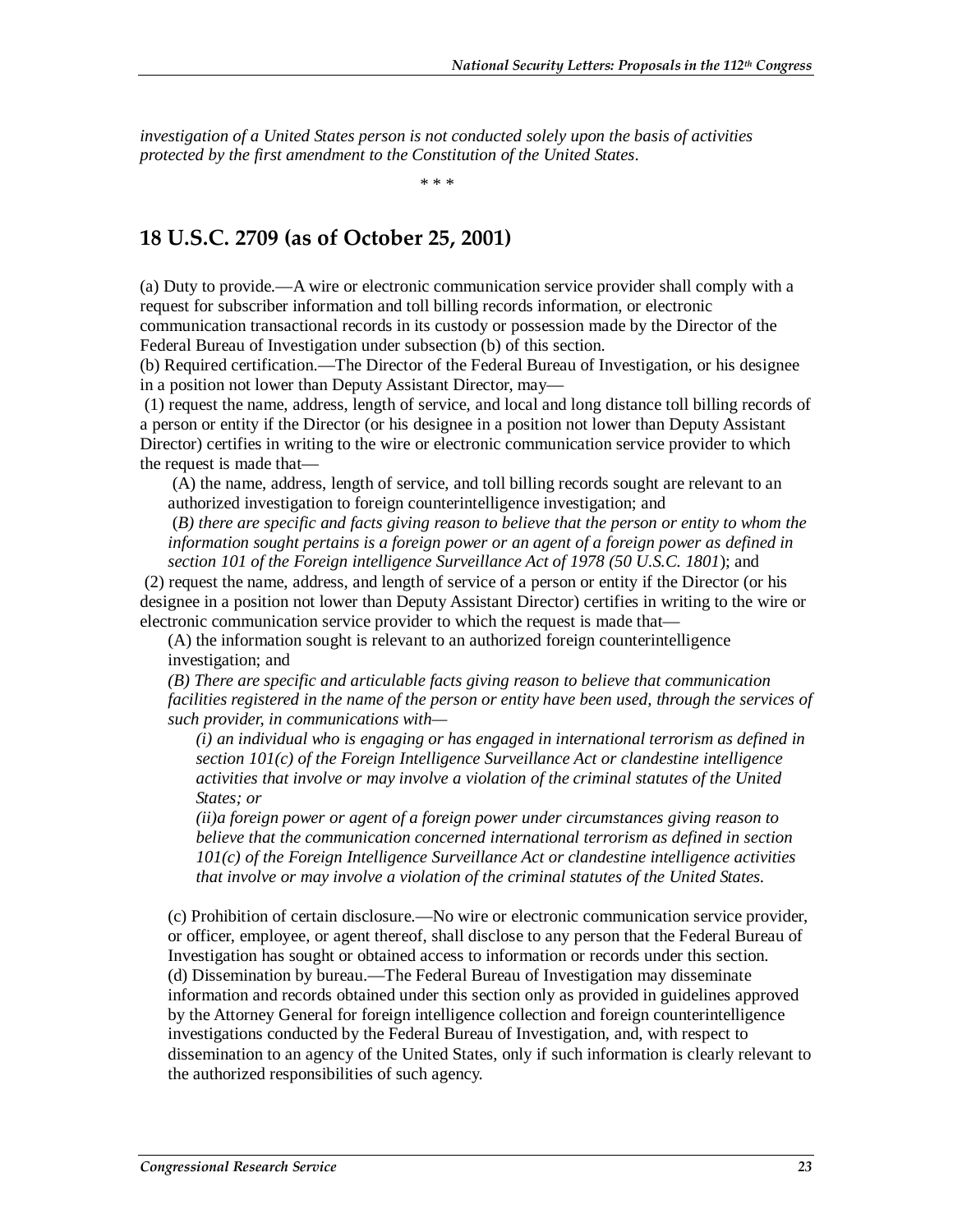*investigation of a United States person is not conducted solely upon the basis of activities protected by the first amendment to the Constitution of the United States*.

\* \* \*

## **18 U.S.C. 2709 (as of October 25, 2001)**

(a) Duty to provide.—A wire or electronic communication service provider shall comply with a request for subscriber information and toll billing records information, or electronic communication transactional records in its custody or possession made by the Director of the Federal Bureau of Investigation under subsection (b) of this section.

(b) Required certification.—The Director of the Federal Bureau of Investigation, or his designee in a position not lower than Deputy Assistant Director, may—

 (1) request the name, address, length of service, and local and long distance toll billing records of a person or entity if the Director (or his designee in a position not lower than Deputy Assistant Director) certifies in writing to the wire or electronic communication service provider to which the request is made that—

 (A) the name, address, length of service, and toll billing records sought are relevant to an authorized investigation to foreign counterintelligence investigation; and

 (*B) there are specific and facts giving reason to believe that the person or entity to whom the information sought pertains is a foreign power or an agent of a foreign power as defined in section 101 of the Foreign intelligence Surveillance Act of 1978 (50 U.S.C. 1801*); and

 (2) request the name, address, and length of service of a person or entity if the Director (or his designee in a position not lower than Deputy Assistant Director) certifies in writing to the wire or electronic communication service provider to which the request is made that—

(A) the information sought is relevant to an authorized foreign counterintelligence investigation; and

*(B) There are specific and articulable facts giving reason to believe that communication facilities registered in the name of the person or entity have been used, through the services of such provider, in communications with—* 

*(i) an individual who is engaging or has engaged in international terrorism as defined in section 101(c) of the Foreign Intelligence Surveillance Act or clandestine intelligence activities that involve or may involve a violation of the criminal statutes of the United States; or* 

*(ii)a foreign power or agent of a foreign power under circumstances giving reason to believe that the communication concerned international terrorism as defined in section 101(c) of the Foreign Intelligence Surveillance Act or clandestine intelligence activities that involve or may involve a violation of the criminal statutes of the United States.* 

(c) Prohibition of certain disclosure.—No wire or electronic communication service provider, or officer, employee, or agent thereof, shall disclose to any person that the Federal Bureau of Investigation has sought or obtained access to information or records under this section. (d) Dissemination by bureau.—The Federal Bureau of Investigation may disseminate information and records obtained under this section only as provided in guidelines approved by the Attorney General for foreign intelligence collection and foreign counterintelligence investigations conducted by the Federal Bureau of Investigation, and, with respect to dissemination to an agency of the United States, only if such information is clearly relevant to the authorized responsibilities of such agency.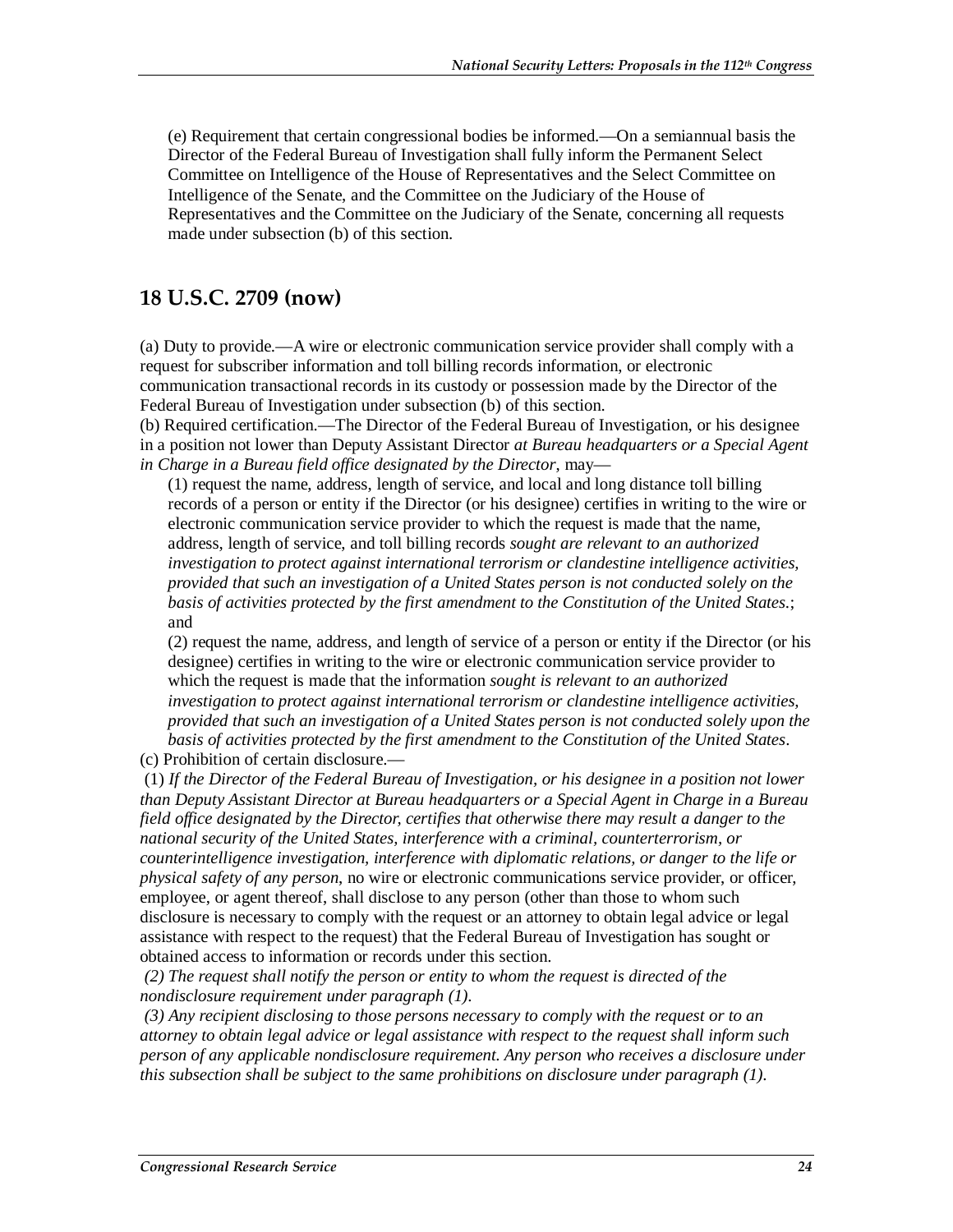(e) Requirement that certain congressional bodies be informed.—On a semiannual basis the Director of the Federal Bureau of Investigation shall fully inform the Permanent Select Committee on Intelligence of the House of Representatives and the Select Committee on Intelligence of the Senate, and the Committee on the Judiciary of the House of Representatives and the Committee on the Judiciary of the Senate, concerning all requests made under subsection (b) of this section.

#### **18 U.S.C. 2709 (now)**

(a) Duty to provide.—A wire or electronic communication service provider shall comply with a request for subscriber information and toll billing records information, or electronic communication transactional records in its custody or possession made by the Director of the Federal Bureau of Investigation under subsection (b) of this section.

(b) Required certification.—The Director of the Federal Bureau of Investigation, or his designee in a position not lower than Deputy Assistant Director *at Bureau headquarters or a Special Agent in Charge in a Bureau field office designated by the Director*, may—

(1) request the name, address, length of service, and local and long distance toll billing records of a person or entity if the Director (or his designee) certifies in writing to the wire or electronic communication service provider to which the request is made that the name, address, length of service, and toll billing records *sought are relevant to an authorized investigation to protect against international terrorism or clandestine intelligence activities, provided that such an investigation of a United States person is not conducted solely on the basis of activities protected by the first amendment to the Constitution of the United States.*; and

(2) request the name, address, and length of service of a person or entity if the Director (or his designee) certifies in writing to the wire or electronic communication service provider to which the request is made that the information *sought is relevant to an authorized investigation to protect against international terrorism or clandestine intelligence activities, provided that such an investigation of a United States person is not conducted solely upon the basis of activities protected by the first amendment to the Constitution of the United States*.

(c) Prohibition of certain disclosure.—

 (1) *If the Director of the Federal Bureau of Investigation, or his designee in a position not lower than Deputy Assistant Director at Bureau headquarters or a Special Agent in Charge in a Bureau field office designated by the Director, certifies that otherwise there may result a danger to the national security of the United States, interference with a criminal, counterterrorism, or counterintelligence investigation, interference with diplomatic relations, or danger to the life or physical safety of any person*, no wire or electronic communications service provider, or officer, employee, or agent thereof, shall disclose to any person (other than those to whom such disclosure is necessary to comply with the request or an attorney to obtain legal advice or legal assistance with respect to the request) that the Federal Bureau of Investigation has sought or obtained access to information or records under this section.

 *(2) The request shall notify the person or entity to whom the request is directed of the nondisclosure requirement under paragraph (1).* 

 *(3) Any recipient disclosing to those persons necessary to comply with the request or to an attorney to obtain legal advice or legal assistance with respect to the request shall inform such person of any applicable nondisclosure requirement. Any person who receives a disclosure under this subsection shall be subject to the same prohibitions on disclosure under paragraph (1).*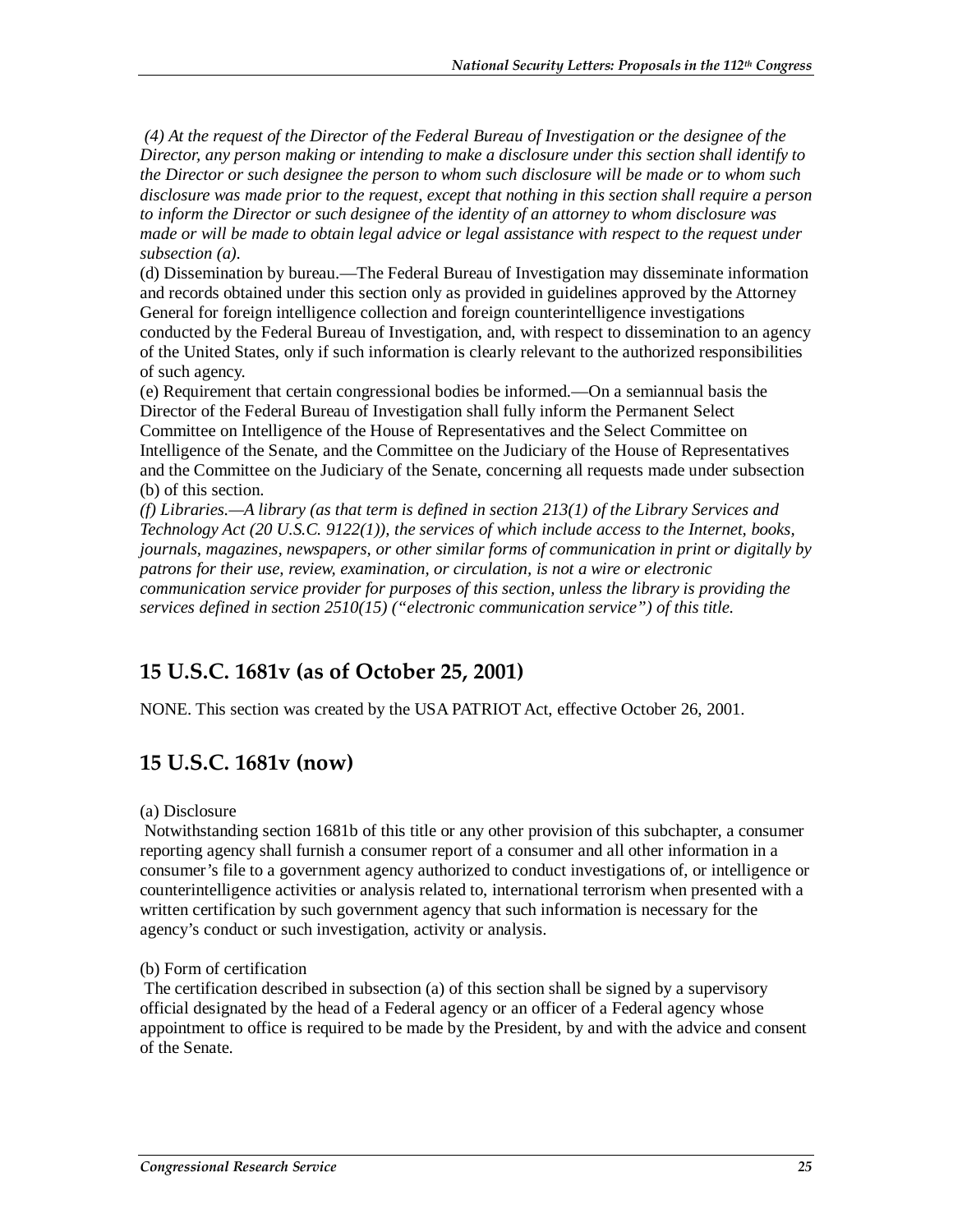*(4) At the request of the Director of the Federal Bureau of Investigation or the designee of the Director, any person making or intending to make a disclosure under this section shall identify to the Director or such designee the person to whom such disclosure will be made or to whom such disclosure was made prior to the request, except that nothing in this section shall require a person to inform the Director or such designee of the identity of an attorney to whom disclosure was made or will be made to obtain legal advice or legal assistance with respect to the request under subsection (a).*

(d) Dissemination by bureau.—The Federal Bureau of Investigation may disseminate information and records obtained under this section only as provided in guidelines approved by the Attorney General for foreign intelligence collection and foreign counterintelligence investigations conducted by the Federal Bureau of Investigation, and, with respect to dissemination to an agency of the United States, only if such information is clearly relevant to the authorized responsibilities of such agency.

(e) Requirement that certain congressional bodies be informed.—On a semiannual basis the Director of the Federal Bureau of Investigation shall fully inform the Permanent Select Committee on Intelligence of the House of Representatives and the Select Committee on Intelligence of the Senate, and the Committee on the Judiciary of the House of Representatives and the Committee on the Judiciary of the Senate, concerning all requests made under subsection (b) of this section.

*(f) Libraries.—A library (as that term is defined in section 213(1) of the Library Services and Technology Act (20 U.S.C. 9122(1)), the services of which include access to the Internet, books, journals, magazines, newspapers, or other similar forms of communication in print or digitally by patrons for their use, review, examination, or circulation, is not a wire or electronic communication service provider for purposes of this section, unless the library is providing the services defined in section 2510(15) ("electronic communication service") of this title.* 

## **15 U.S.C. 1681v (as of October 25, 2001)**

NONE. This section was created by the USA PATRIOT Act, effective October 26, 2001.

## **15 U.S.C. 1681v (now)**

#### (a) Disclosure

 Notwithstanding section 1681b of this title or any other provision of this subchapter, a consumer reporting agency shall furnish a consumer report of a consumer and all other information in a consumer's file to a government agency authorized to conduct investigations of, or intelligence or counterintelligence activities or analysis related to, international terrorism when presented with a written certification by such government agency that such information is necessary for the agency's conduct or such investigation, activity or analysis.

#### (b) Form of certification

 The certification described in subsection (a) of this section shall be signed by a supervisory official designated by the head of a Federal agency or an officer of a Federal agency whose appointment to office is required to be made by the President, by and with the advice and consent of the Senate.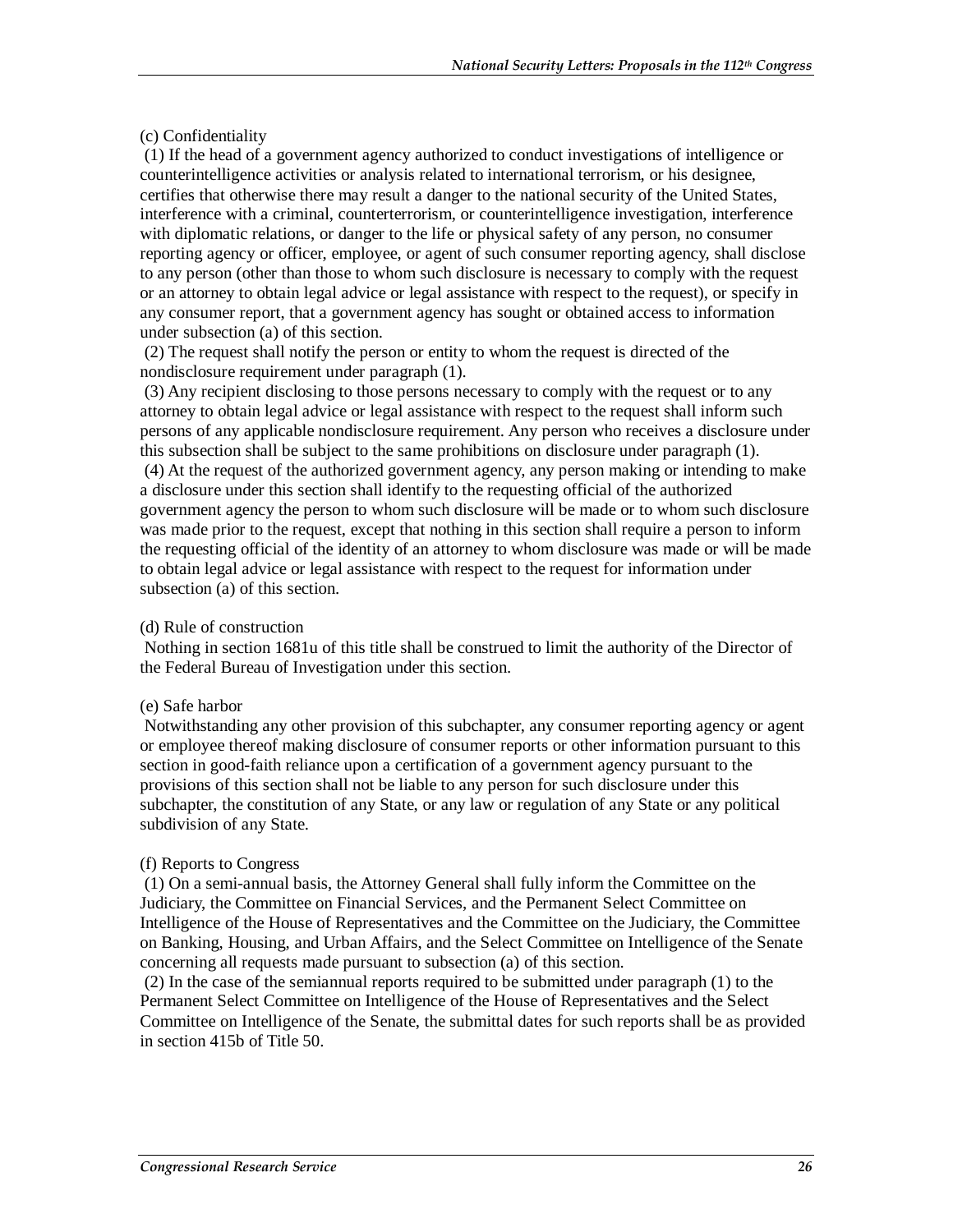#### (c) Confidentiality

 (1) If the head of a government agency authorized to conduct investigations of intelligence or counterintelligence activities or analysis related to international terrorism, or his designee, certifies that otherwise there may result a danger to the national security of the United States, interference with a criminal, counterterrorism, or counterintelligence investigation, interference with diplomatic relations, or danger to the life or physical safety of any person, no consumer reporting agency or officer, employee, or agent of such consumer reporting agency, shall disclose to any person (other than those to whom such disclosure is necessary to comply with the request or an attorney to obtain legal advice or legal assistance with respect to the request), or specify in any consumer report, that a government agency has sought or obtained access to information under subsection (a) of this section.

 (2) The request shall notify the person or entity to whom the request is directed of the nondisclosure requirement under paragraph (1).

 (3) Any recipient disclosing to those persons necessary to comply with the request or to any attorney to obtain legal advice or legal assistance with respect to the request shall inform such persons of any applicable nondisclosure requirement. Any person who receives a disclosure under this subsection shall be subject to the same prohibitions on disclosure under paragraph (1). (4) At the request of the authorized government agency, any person making or intending to make a disclosure under this section shall identify to the requesting official of the authorized government agency the person to whom such disclosure will be made or to whom such disclosure was made prior to the request, except that nothing in this section shall require a person to inform the requesting official of the identity of an attorney to whom disclosure was made or will be made to obtain legal advice or legal assistance with respect to the request for information under subsection (a) of this section.

#### (d) Rule of construction

 Nothing in section 1681u of this title shall be construed to limit the authority of the Director of the Federal Bureau of Investigation under this section.

#### (e) Safe harbor

 Notwithstanding any other provision of this subchapter, any consumer reporting agency or agent or employee thereof making disclosure of consumer reports or other information pursuant to this section in good-faith reliance upon a certification of a government agency pursuant to the provisions of this section shall not be liable to any person for such disclosure under this subchapter, the constitution of any State, or any law or regulation of any State or any political subdivision of any State.

#### (f) Reports to Congress

 (1) On a semi-annual basis, the Attorney General shall fully inform the Committee on the Judiciary, the Committee on Financial Services, and the Permanent Select Committee on Intelligence of the House of Representatives and the Committee on the Judiciary, the Committee on Banking, Housing, and Urban Affairs, and the Select Committee on Intelligence of the Senate concerning all requests made pursuant to subsection (a) of this section.

 (2) In the case of the semiannual reports required to be submitted under paragraph (1) to the Permanent Select Committee on Intelligence of the House of Representatives and the Select Committee on Intelligence of the Senate, the submittal dates for such reports shall be as provided in section 415b of Title 50.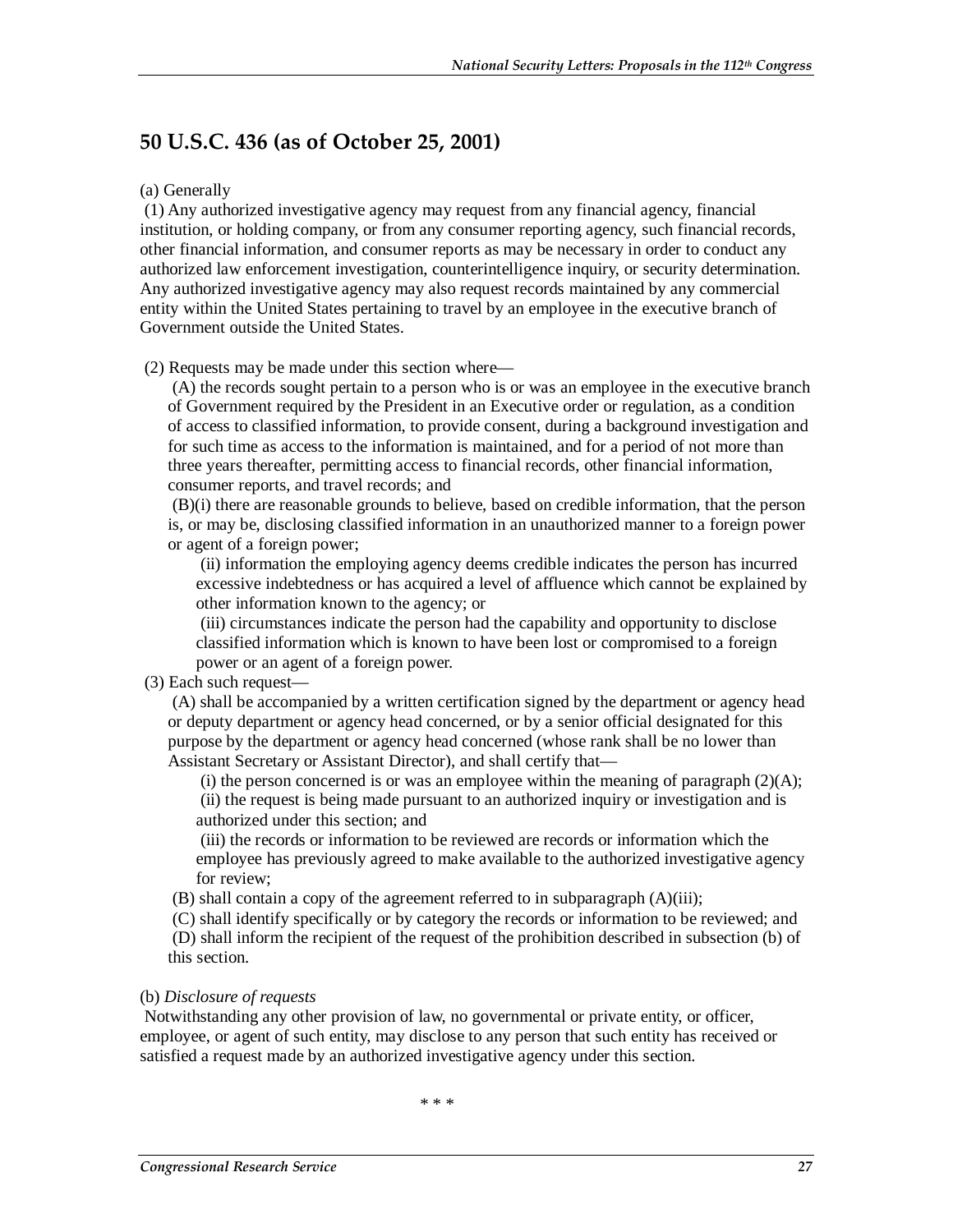## **50 U.S.C. 436 (as of October 25, 2001)**

#### (a) Generally

 (1) Any authorized investigative agency may request from any financial agency, financial institution, or holding company, or from any consumer reporting agency, such financial records, other financial information, and consumer reports as may be necessary in order to conduct any authorized law enforcement investigation, counterintelligence inquiry, or security determination. Any authorized investigative agency may also request records maintained by any commercial entity within the United States pertaining to travel by an employee in the executive branch of Government outside the United States.

(2) Requests may be made under this section where—

 (A) the records sought pertain to a person who is or was an employee in the executive branch of Government required by the President in an Executive order or regulation, as a condition of access to classified information, to provide consent, during a background investigation and for such time as access to the information is maintained, and for a period of not more than three years thereafter, permitting access to financial records, other financial information, consumer reports, and travel records; and

 (B)(i) there are reasonable grounds to believe, based on credible information, that the person is, or may be, disclosing classified information in an unauthorized manner to a foreign power or agent of a foreign power;

 (ii) information the employing agency deems credible indicates the person has incurred excessive indebtedness or has acquired a level of affluence which cannot be explained by other information known to the agency; or

 (iii) circumstances indicate the person had the capability and opportunity to disclose classified information which is known to have been lost or compromised to a foreign power or an agent of a foreign power.

(3) Each such request—

 (A) shall be accompanied by a written certification signed by the department or agency head or deputy department or agency head concerned, or by a senior official designated for this purpose by the department or agency head concerned (whose rank shall be no lower than Assistant Secretary or Assistant Director), and shall certify that—

(i) the person concerned is or was an employee within the meaning of paragraph  $(2)(A)$ ; (ii) the request is being made pursuant to an authorized inquiry or investigation and is authorized under this section; and

 (iii) the records or information to be reviewed are records or information which the employee has previously agreed to make available to the authorized investigative agency for review;

(B) shall contain a copy of the agreement referred to in subparagraph (A)(iii);

(C) shall identify specifically or by category the records or information to be reviewed; and

 (D) shall inform the recipient of the request of the prohibition described in subsection (b) of this section.

#### (b) *Disclosure of requests*

 Notwithstanding any other provision of law, no governmental or private entity, or officer, employee, or agent of such entity, may disclose to any person that such entity has received or satisfied a request made by an authorized investigative agency under this section.

\* \* \*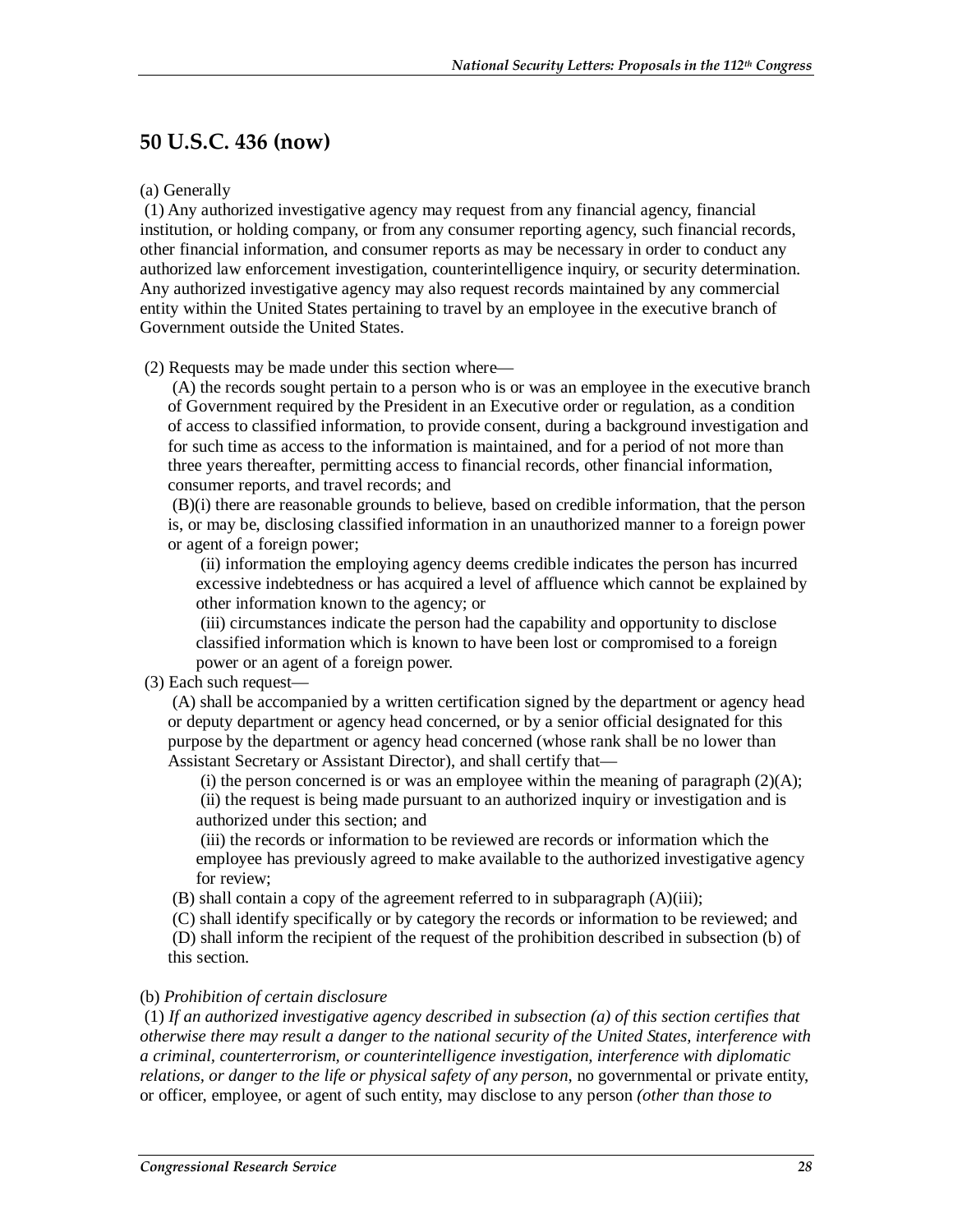## **50 U.S.C. 436 (now)**

(a) Generally

 (1) Any authorized investigative agency may request from any financial agency, financial institution, or holding company, or from any consumer reporting agency, such financial records, other financial information, and consumer reports as may be necessary in order to conduct any authorized law enforcement investigation, counterintelligence inquiry, or security determination. Any authorized investigative agency may also request records maintained by any commercial entity within the United States pertaining to travel by an employee in the executive branch of Government outside the United States.

(2) Requests may be made under this section where—

 (A) the records sought pertain to a person who is or was an employee in the executive branch of Government required by the President in an Executive order or regulation, as a condition of access to classified information, to provide consent, during a background investigation and for such time as access to the information is maintained, and for a period of not more than three years thereafter, permitting access to financial records, other financial information, consumer reports, and travel records; and

 (B)(i) there are reasonable grounds to believe, based on credible information, that the person is, or may be, disclosing classified information in an unauthorized manner to a foreign power or agent of a foreign power;

 (ii) information the employing agency deems credible indicates the person has incurred excessive indebtedness or has acquired a level of affluence which cannot be explained by other information known to the agency; or

 (iii) circumstances indicate the person had the capability and opportunity to disclose classified information which is known to have been lost or compromised to a foreign power or an agent of a foreign power.

(3) Each such request—

 (A) shall be accompanied by a written certification signed by the department or agency head or deputy department or agency head concerned, or by a senior official designated for this purpose by the department or agency head concerned (whose rank shall be no lower than Assistant Secretary or Assistant Director), and shall certify that—

(i) the person concerned is or was an employee within the meaning of paragraph  $(2)(A)$ ; (ii) the request is being made pursuant to an authorized inquiry or investigation and is authorized under this section; and

 (iii) the records or information to be reviewed are records or information which the employee has previously agreed to make available to the authorized investigative agency for review;

(B) shall contain a copy of the agreement referred to in subparagraph (A)(iii);

(C) shall identify specifically or by category the records or information to be reviewed; and

 (D) shall inform the recipient of the request of the prohibition described in subsection (b) of this section.

#### (b) *Prohibition of certain disclosure*

 (1) *If an authorized investigative agency described in subsection (a) of this section certifies that otherwise there may result a danger to the national security of the United States, interference with a criminal, counterterrorism, or counterintelligence investigation, interference with diplomatic relations, or danger to the life or physical safety of any person*, no governmental or private entity, or officer, employee, or agent of such entity, may disclose to any person *(other than those to*